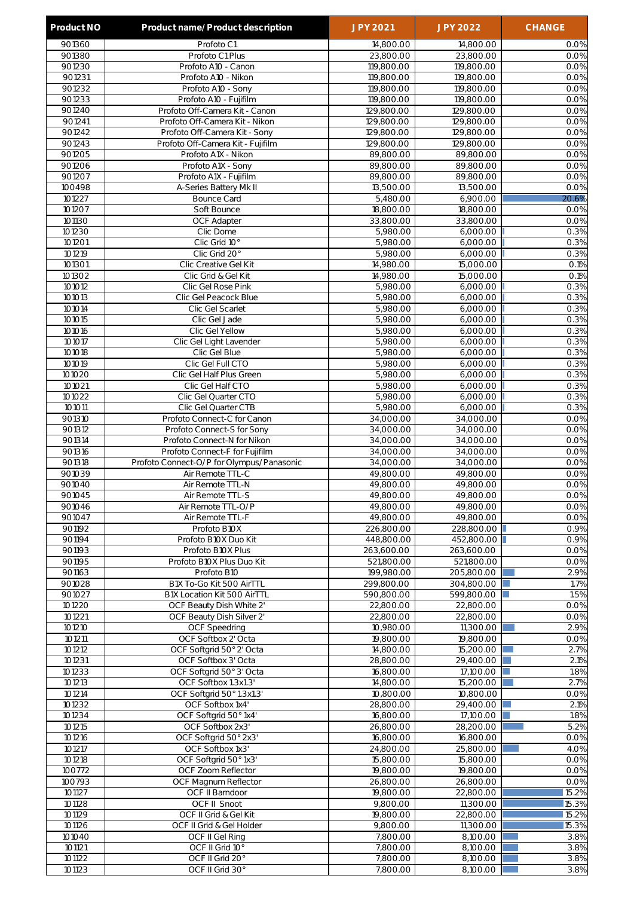| 901360<br>Profoto C1<br>14,800.00<br>14,800.00<br>0.0%<br>901380<br>Profoto C1 Plus<br>23,800.00<br>23,800.00<br>0.0%<br>901230<br>Profoto A10 - Canon<br>119,800.00<br>119,800.00<br>901231<br>Profoto A10 - Nikon<br>119,800.00<br>119,800.00<br>0.0%<br>901232<br>Profoto A10 - Sony<br>119,800.00<br>119,800.00<br>0.0%<br>901233<br>Profoto A10 - Fujifilm<br>119,800.00<br>119,800.00<br>0.0%<br>901240<br>Profoto Off-Camera Kit - Canon<br>129,800.00<br>129,800.00<br>0.0%<br>901241<br>Profoto Off-Camera Kit - Nikon<br>129,800.00<br>129,800.00<br>0.0%<br>901242<br>Profoto Off-Camera Kit - Sony<br>129,800.00<br>129,800.00<br>0.0%<br>901243<br>Profoto Off-Camera Kit - Fujifilm<br>129,800.00<br>129,800.00<br>0.0%<br>901205<br>Profoto A1X - Nikon<br>89,800.00<br>89,800.00<br>0.0%<br>901206<br>89,800.00<br>89,800.00<br>Profoto A1X - Sony<br>0.0%<br>901207<br>89,800.00<br>89,800.00<br>Profoto A1X - Fujifilm<br>0.0%<br>100498<br>13,500.00<br>13,500.00<br>A-Series Battery Mk II<br>0.0%<br>101227<br>5,480.00<br>20.6%<br><b>Bounce Card</b><br>6,900.00<br>101207<br>Soft Bounce<br>18,800.00<br>18,800.00<br>0.0%<br>101130<br>OCF Adapter<br>33,800.00<br>33,800.00<br>0.0%<br>101230<br>5,980.00<br>Clic Dome<br>6,000.00<br>0.3%<br>101201<br>Clic Grid 10°<br>5,980.00<br>0.3%<br>6,000.00<br>101219<br>Clic Grid 20°<br>5,980.00<br>6,000.00<br>0.3%<br>101301<br>Clic Creative Gel Kit<br>14,980.00<br>15,000.00<br>O.1%<br>101302<br>0.1%<br>Clic Grid & Gel Kit<br>14,980.00<br>15,000.00<br>101012<br>5,980.00<br>0.3%<br>Clic Gel Rose Pink<br>6,000.00<br>101013<br>Clic Gel Peacock Blue<br>5,980.00<br>6,000.00<br>0.3%<br>101014<br>5,980.00<br>0.3%<br>Clic Gel Scarlet<br>6,000.00<br>101015<br>Clic Gel Jade<br>5,980.00<br>0.3%<br>6,000.00<br>5,980.00<br>101016<br>Clic Gel Yellow<br>6,000.00<br>0.3%<br>101017<br>0.3%<br>Clic Gel Light Lavender<br>5,980.00<br>6,000.00<br>101018<br>Clic Gel Blue<br>5,980.00<br>6,000.00<br>0.3%<br>101019<br>Clic Gel Full CTO<br>5,980.00<br>0.3%<br>6,000.00<br>101020<br>Clic Gel Half Plus Green<br>5,980.00<br>0.3%<br>6,000.00<br>101021<br>0.3%<br>Clic Gel Half CTO<br>5,980.00<br>6,000.00<br>101022<br>Clic Gel Quarter CTO<br>5,980.00<br>6,000.00<br>0.3%<br>101011<br>5,980.00<br>Clic Gel Quarter CTB<br>6,000.00<br>0.3%<br>901310<br>Profoto Connect-C for Canon<br>34,000.00<br>34,000.00<br>0.0%<br>901312<br>34,000.00<br>Profoto Connect-S for Sony<br>34,000.00<br>0.0%<br>901314<br>34,000.00<br>34,000.00<br>Profoto Connect-N for Nikon<br>0.0%<br>901316<br>Profoto Connect-F for Fujifilm<br>34,000.00<br>34,000.00<br>0.0%<br>901318<br>Profoto Connect-O/P for Olympus/Panasonic<br>34,000.00<br>34,000.00<br>0.0%<br>901039<br>Air Remote TTL-C<br>49,800.00<br>49,800.00<br>0.0%<br>901040<br>Air Remote TTL-N<br>49,800.00<br>49,800.00<br>0.0%<br>901045<br>49,800.00<br>49,800.00<br>0.0%<br>Air Remote TTL-S<br>901046<br>49,800.00<br>49,800.00<br>0.0%<br>Air Remote TTL-O/P<br>901047<br>Air Remote TTL-F<br>49,800.00<br>49.800.00<br>0.0%<br>901192<br>226,800.00<br>228,800.00<br>0.9%<br>Profoto B10X<br>901194<br>Profoto B10X Duo Kit<br>448,800.00<br>452,800.00<br>0.9%<br>901193<br>Profoto B10X Plus<br>263,600.00<br>0.0%<br>263,600.00<br>901195<br>Profoto B10X Plus Duo Kit<br>521,800.00<br>0.0%<br>521,800.00<br>199,980.00<br>2.9%<br>901163<br>Profoto B10<br>205,800.00<br>901028<br>1.7%<br>B1X To-Go Kit 500 AirTTL<br>299,800.00<br>304,800.00<br>901027<br>B1X Location Kit 500 AirTTL<br>590,800.00<br>599,800.00<br>1.5%<br>101220<br>OCF Beauty Dish White 2'<br>0.0%<br>22,800.00<br>22,800.00<br>101221<br>OCF Beauty Dish Silver 2'<br>22,800.00<br>22,800.00<br>0.0%<br>101210<br><b>OCF Speedring</b><br>10,980.00<br>11,300.00<br>2.9%<br>101211<br>OCF Softbox 2' Octa<br>19,800.00<br>19,800.00<br>0.0%<br>101212<br>OCF Softgrid 50° 2' Octa<br>14,800.00<br>15,200.00<br>2.7%<br>2.1%<br>101231<br>OCF Softbox 3' Octa<br>28,800.00<br>29,400.00<br>101233<br>1.8%<br>OCF Softgrid 50° 3' Octa<br>16,800.00<br>17,100.00<br>101213<br>OCF Softbox 1.3x1.3'<br>2.7%<br>14,800.00<br>15,200.00<br>101214<br>OCF Softgrid 50° 1.3x1.3'<br>10,800.00<br>10,800.00<br>0.0%<br>101232<br>$2.1\%$<br>OCF Softbox 1x4'<br>28,800.00<br>29,400.00<br>1.8%<br>101234<br>OCF Softgrid 50°1x4'<br>16,800.00<br>17,100.00<br>OCF Softbox 2x3'<br>5.2%<br>101215<br>26,800.00<br>28,200.00<br>101216<br>OCF Softgrid 50° 2x3'<br>16,800.00<br>0.0%<br>16,800.00<br>101217<br>OCF Softbox 1x3'<br>24,800.00<br>25,800.00<br>4.0%<br>101218<br>OCF Softgrid 50° 1x3'<br>15,800.00<br>15,800.00<br>0.0%<br>100772<br>OCF Zoom Reflector<br>19,800.00<br>19,800.00<br>0.0%<br>100793<br>OCF Magnum Reflector<br>26,800.00<br>26,800.00<br>0.0%<br>101127<br>19,800.00<br>22,800.00<br>15.2%<br>OCF II Barndoor<br><b>OCF II Snoot</b><br>9,800.00<br>11,300.00<br>15.3%<br>101128<br>101129<br>OCF II Grid & Gel Kit<br>19,800.00<br>22,800.00<br>15.2%<br>101126<br>9,800.00<br>11,300.00<br>15.3%<br>OCF II Grid & Gel Holder<br>101040<br>OCF II Gel Ring<br>7,800.00<br>8,100.00<br>3.8%<br>101121<br>OCF II Grid 10°<br>7,800.00<br>8,100.00<br>3.8%<br>101122<br>OCF II Grid 20°<br>7,800.00<br>3.8%<br>8,100.00<br>101123<br>OCF II Grid 30°<br>7,800.00<br>3.8%<br>8,100.00 | Product NO | Product name/Product description | <b>JPY 2021</b> | <b>JPY 2022</b> | <b>CHANGE</b> |
|----------------------------------------------------------------------------------------------------------------------------------------------------------------------------------------------------------------------------------------------------------------------------------------------------------------------------------------------------------------------------------------------------------------------------------------------------------------------------------------------------------------------------------------------------------------------------------------------------------------------------------------------------------------------------------------------------------------------------------------------------------------------------------------------------------------------------------------------------------------------------------------------------------------------------------------------------------------------------------------------------------------------------------------------------------------------------------------------------------------------------------------------------------------------------------------------------------------------------------------------------------------------------------------------------------------------------------------------------------------------------------------------------------------------------------------------------------------------------------------------------------------------------------------------------------------------------------------------------------------------------------------------------------------------------------------------------------------------------------------------------------------------------------------------------------------------------------------------------------------------------------------------------------------------------------------------------------------------------------------------------------------------------------------------------------------------------------------------------------------------------------------------------------------------------------------------------------------------------------------------------------------------------------------------------------------------------------------------------------------------------------------------------------------------------------------------------------------------------------------------------------------------------------------------------------------------------------------------------------------------------------------------------------------------------------------------------------------------------------------------------------------------------------------------------------------------------------------------------------------------------------------------------------------------------------------------------------------------------------------------------------------------------------------------------------------------------------------------------------------------------------------------------------------------------------------------------------------------------------------------------------------------------------------------------------------------------------------------------------------------------------------------------------------------------------------------------------------------------------------------------------------------------------------------------------------------------------------------------------------------------------------------------------------------------------------------------------------------------------------------------------------------------------------------------------------------------------------------------------------------------------------------------------------------------------------------------------------------------------------------------------------------------------------------------------------------------------------------------------------------------------------------------------------------------------------------------------------------------------------------------------------------------------------------------------------------------------------------------------------------------------------------------------------------------------------------------------------------------------------------------------------------------------------------------------------------------------------------------------------------------------------------------------------------------------------------------------------------------------------------------------------------------------------------------------------------------------------------------------------------------------------------------------------------------------------------------------------------------------------------------------------------------------------------------------------------------------------------------------------------------------------------------------------------------------------------------------------------------------------------------------------------------------------------------------------------------------------|------------|----------------------------------|-----------------|-----------------|---------------|
|                                                                                                                                                                                                                                                                                                                                                                                                                                                                                                                                                                                                                                                                                                                                                                                                                                                                                                                                                                                                                                                                                                                                                                                                                                                                                                                                                                                                                                                                                                                                                                                                                                                                                                                                                                                                                                                                                                                                                                                                                                                                                                                                                                                                                                                                                                                                                                                                                                                                                                                                                                                                                                                                                                                                                                                                                                                                                                                                                                                                                                                                                                                                                                                                                                                                                                                                                                                                                                                                                                                                                                                                                                                                                                                                                                                                                                                                                                                                                                                                                                                                                                                                                                                                                                                                                                                                                                                                                                                                                                                                                                                                                                                                                                                                                                                                                                                                                                                                                                                                                                                                                                                                                                                                                                                                                                                                        |            |                                  |                 |                 |               |
|                                                                                                                                                                                                                                                                                                                                                                                                                                                                                                                                                                                                                                                                                                                                                                                                                                                                                                                                                                                                                                                                                                                                                                                                                                                                                                                                                                                                                                                                                                                                                                                                                                                                                                                                                                                                                                                                                                                                                                                                                                                                                                                                                                                                                                                                                                                                                                                                                                                                                                                                                                                                                                                                                                                                                                                                                                                                                                                                                                                                                                                                                                                                                                                                                                                                                                                                                                                                                                                                                                                                                                                                                                                                                                                                                                                                                                                                                                                                                                                                                                                                                                                                                                                                                                                                                                                                                                                                                                                                                                                                                                                                                                                                                                                                                                                                                                                                                                                                                                                                                                                                                                                                                                                                                                                                                                                                        |            |                                  |                 |                 |               |
|                                                                                                                                                                                                                                                                                                                                                                                                                                                                                                                                                                                                                                                                                                                                                                                                                                                                                                                                                                                                                                                                                                                                                                                                                                                                                                                                                                                                                                                                                                                                                                                                                                                                                                                                                                                                                                                                                                                                                                                                                                                                                                                                                                                                                                                                                                                                                                                                                                                                                                                                                                                                                                                                                                                                                                                                                                                                                                                                                                                                                                                                                                                                                                                                                                                                                                                                                                                                                                                                                                                                                                                                                                                                                                                                                                                                                                                                                                                                                                                                                                                                                                                                                                                                                                                                                                                                                                                                                                                                                                                                                                                                                                                                                                                                                                                                                                                                                                                                                                                                                                                                                                                                                                                                                                                                                                                                        |            |                                  |                 |                 | 0.0%          |
|                                                                                                                                                                                                                                                                                                                                                                                                                                                                                                                                                                                                                                                                                                                                                                                                                                                                                                                                                                                                                                                                                                                                                                                                                                                                                                                                                                                                                                                                                                                                                                                                                                                                                                                                                                                                                                                                                                                                                                                                                                                                                                                                                                                                                                                                                                                                                                                                                                                                                                                                                                                                                                                                                                                                                                                                                                                                                                                                                                                                                                                                                                                                                                                                                                                                                                                                                                                                                                                                                                                                                                                                                                                                                                                                                                                                                                                                                                                                                                                                                                                                                                                                                                                                                                                                                                                                                                                                                                                                                                                                                                                                                                                                                                                                                                                                                                                                                                                                                                                                                                                                                                                                                                                                                                                                                                                                        |            |                                  |                 |                 |               |
|                                                                                                                                                                                                                                                                                                                                                                                                                                                                                                                                                                                                                                                                                                                                                                                                                                                                                                                                                                                                                                                                                                                                                                                                                                                                                                                                                                                                                                                                                                                                                                                                                                                                                                                                                                                                                                                                                                                                                                                                                                                                                                                                                                                                                                                                                                                                                                                                                                                                                                                                                                                                                                                                                                                                                                                                                                                                                                                                                                                                                                                                                                                                                                                                                                                                                                                                                                                                                                                                                                                                                                                                                                                                                                                                                                                                                                                                                                                                                                                                                                                                                                                                                                                                                                                                                                                                                                                                                                                                                                                                                                                                                                                                                                                                                                                                                                                                                                                                                                                                                                                                                                                                                                                                                                                                                                                                        |            |                                  |                 |                 |               |
|                                                                                                                                                                                                                                                                                                                                                                                                                                                                                                                                                                                                                                                                                                                                                                                                                                                                                                                                                                                                                                                                                                                                                                                                                                                                                                                                                                                                                                                                                                                                                                                                                                                                                                                                                                                                                                                                                                                                                                                                                                                                                                                                                                                                                                                                                                                                                                                                                                                                                                                                                                                                                                                                                                                                                                                                                                                                                                                                                                                                                                                                                                                                                                                                                                                                                                                                                                                                                                                                                                                                                                                                                                                                                                                                                                                                                                                                                                                                                                                                                                                                                                                                                                                                                                                                                                                                                                                                                                                                                                                                                                                                                                                                                                                                                                                                                                                                                                                                                                                                                                                                                                                                                                                                                                                                                                                                        |            |                                  |                 |                 |               |
|                                                                                                                                                                                                                                                                                                                                                                                                                                                                                                                                                                                                                                                                                                                                                                                                                                                                                                                                                                                                                                                                                                                                                                                                                                                                                                                                                                                                                                                                                                                                                                                                                                                                                                                                                                                                                                                                                                                                                                                                                                                                                                                                                                                                                                                                                                                                                                                                                                                                                                                                                                                                                                                                                                                                                                                                                                                                                                                                                                                                                                                                                                                                                                                                                                                                                                                                                                                                                                                                                                                                                                                                                                                                                                                                                                                                                                                                                                                                                                                                                                                                                                                                                                                                                                                                                                                                                                                                                                                                                                                                                                                                                                                                                                                                                                                                                                                                                                                                                                                                                                                                                                                                                                                                                                                                                                                                        |            |                                  |                 |                 |               |
|                                                                                                                                                                                                                                                                                                                                                                                                                                                                                                                                                                                                                                                                                                                                                                                                                                                                                                                                                                                                                                                                                                                                                                                                                                                                                                                                                                                                                                                                                                                                                                                                                                                                                                                                                                                                                                                                                                                                                                                                                                                                                                                                                                                                                                                                                                                                                                                                                                                                                                                                                                                                                                                                                                                                                                                                                                                                                                                                                                                                                                                                                                                                                                                                                                                                                                                                                                                                                                                                                                                                                                                                                                                                                                                                                                                                                                                                                                                                                                                                                                                                                                                                                                                                                                                                                                                                                                                                                                                                                                                                                                                                                                                                                                                                                                                                                                                                                                                                                                                                                                                                                                                                                                                                                                                                                                                                        |            |                                  |                 |                 |               |
|                                                                                                                                                                                                                                                                                                                                                                                                                                                                                                                                                                                                                                                                                                                                                                                                                                                                                                                                                                                                                                                                                                                                                                                                                                                                                                                                                                                                                                                                                                                                                                                                                                                                                                                                                                                                                                                                                                                                                                                                                                                                                                                                                                                                                                                                                                                                                                                                                                                                                                                                                                                                                                                                                                                                                                                                                                                                                                                                                                                                                                                                                                                                                                                                                                                                                                                                                                                                                                                                                                                                                                                                                                                                                                                                                                                                                                                                                                                                                                                                                                                                                                                                                                                                                                                                                                                                                                                                                                                                                                                                                                                                                                                                                                                                                                                                                                                                                                                                                                                                                                                                                                                                                                                                                                                                                                                                        |            |                                  |                 |                 |               |
|                                                                                                                                                                                                                                                                                                                                                                                                                                                                                                                                                                                                                                                                                                                                                                                                                                                                                                                                                                                                                                                                                                                                                                                                                                                                                                                                                                                                                                                                                                                                                                                                                                                                                                                                                                                                                                                                                                                                                                                                                                                                                                                                                                                                                                                                                                                                                                                                                                                                                                                                                                                                                                                                                                                                                                                                                                                                                                                                                                                                                                                                                                                                                                                                                                                                                                                                                                                                                                                                                                                                                                                                                                                                                                                                                                                                                                                                                                                                                                                                                                                                                                                                                                                                                                                                                                                                                                                                                                                                                                                                                                                                                                                                                                                                                                                                                                                                                                                                                                                                                                                                                                                                                                                                                                                                                                                                        |            |                                  |                 |                 |               |
|                                                                                                                                                                                                                                                                                                                                                                                                                                                                                                                                                                                                                                                                                                                                                                                                                                                                                                                                                                                                                                                                                                                                                                                                                                                                                                                                                                                                                                                                                                                                                                                                                                                                                                                                                                                                                                                                                                                                                                                                                                                                                                                                                                                                                                                                                                                                                                                                                                                                                                                                                                                                                                                                                                                                                                                                                                                                                                                                                                                                                                                                                                                                                                                                                                                                                                                                                                                                                                                                                                                                                                                                                                                                                                                                                                                                                                                                                                                                                                                                                                                                                                                                                                                                                                                                                                                                                                                                                                                                                                                                                                                                                                                                                                                                                                                                                                                                                                                                                                                                                                                                                                                                                                                                                                                                                                                                        |            |                                  |                 |                 |               |
|                                                                                                                                                                                                                                                                                                                                                                                                                                                                                                                                                                                                                                                                                                                                                                                                                                                                                                                                                                                                                                                                                                                                                                                                                                                                                                                                                                                                                                                                                                                                                                                                                                                                                                                                                                                                                                                                                                                                                                                                                                                                                                                                                                                                                                                                                                                                                                                                                                                                                                                                                                                                                                                                                                                                                                                                                                                                                                                                                                                                                                                                                                                                                                                                                                                                                                                                                                                                                                                                                                                                                                                                                                                                                                                                                                                                                                                                                                                                                                                                                                                                                                                                                                                                                                                                                                                                                                                                                                                                                                                                                                                                                                                                                                                                                                                                                                                                                                                                                                                                                                                                                                                                                                                                                                                                                                                                        |            |                                  |                 |                 |               |
|                                                                                                                                                                                                                                                                                                                                                                                                                                                                                                                                                                                                                                                                                                                                                                                                                                                                                                                                                                                                                                                                                                                                                                                                                                                                                                                                                                                                                                                                                                                                                                                                                                                                                                                                                                                                                                                                                                                                                                                                                                                                                                                                                                                                                                                                                                                                                                                                                                                                                                                                                                                                                                                                                                                                                                                                                                                                                                                                                                                                                                                                                                                                                                                                                                                                                                                                                                                                                                                                                                                                                                                                                                                                                                                                                                                                                                                                                                                                                                                                                                                                                                                                                                                                                                                                                                                                                                                                                                                                                                                                                                                                                                                                                                                                                                                                                                                                                                                                                                                                                                                                                                                                                                                                                                                                                                                                        |            |                                  |                 |                 |               |
|                                                                                                                                                                                                                                                                                                                                                                                                                                                                                                                                                                                                                                                                                                                                                                                                                                                                                                                                                                                                                                                                                                                                                                                                                                                                                                                                                                                                                                                                                                                                                                                                                                                                                                                                                                                                                                                                                                                                                                                                                                                                                                                                                                                                                                                                                                                                                                                                                                                                                                                                                                                                                                                                                                                                                                                                                                                                                                                                                                                                                                                                                                                                                                                                                                                                                                                                                                                                                                                                                                                                                                                                                                                                                                                                                                                                                                                                                                                                                                                                                                                                                                                                                                                                                                                                                                                                                                                                                                                                                                                                                                                                                                                                                                                                                                                                                                                                                                                                                                                                                                                                                                                                                                                                                                                                                                                                        |            |                                  |                 |                 |               |
|                                                                                                                                                                                                                                                                                                                                                                                                                                                                                                                                                                                                                                                                                                                                                                                                                                                                                                                                                                                                                                                                                                                                                                                                                                                                                                                                                                                                                                                                                                                                                                                                                                                                                                                                                                                                                                                                                                                                                                                                                                                                                                                                                                                                                                                                                                                                                                                                                                                                                                                                                                                                                                                                                                                                                                                                                                                                                                                                                                                                                                                                                                                                                                                                                                                                                                                                                                                                                                                                                                                                                                                                                                                                                                                                                                                                                                                                                                                                                                                                                                                                                                                                                                                                                                                                                                                                                                                                                                                                                                                                                                                                                                                                                                                                                                                                                                                                                                                                                                                                                                                                                                                                                                                                                                                                                                                                        |            |                                  |                 |                 |               |
|                                                                                                                                                                                                                                                                                                                                                                                                                                                                                                                                                                                                                                                                                                                                                                                                                                                                                                                                                                                                                                                                                                                                                                                                                                                                                                                                                                                                                                                                                                                                                                                                                                                                                                                                                                                                                                                                                                                                                                                                                                                                                                                                                                                                                                                                                                                                                                                                                                                                                                                                                                                                                                                                                                                                                                                                                                                                                                                                                                                                                                                                                                                                                                                                                                                                                                                                                                                                                                                                                                                                                                                                                                                                                                                                                                                                                                                                                                                                                                                                                                                                                                                                                                                                                                                                                                                                                                                                                                                                                                                                                                                                                                                                                                                                                                                                                                                                                                                                                                                                                                                                                                                                                                                                                                                                                                                                        |            |                                  |                 |                 |               |
|                                                                                                                                                                                                                                                                                                                                                                                                                                                                                                                                                                                                                                                                                                                                                                                                                                                                                                                                                                                                                                                                                                                                                                                                                                                                                                                                                                                                                                                                                                                                                                                                                                                                                                                                                                                                                                                                                                                                                                                                                                                                                                                                                                                                                                                                                                                                                                                                                                                                                                                                                                                                                                                                                                                                                                                                                                                                                                                                                                                                                                                                                                                                                                                                                                                                                                                                                                                                                                                                                                                                                                                                                                                                                                                                                                                                                                                                                                                                                                                                                                                                                                                                                                                                                                                                                                                                                                                                                                                                                                                                                                                                                                                                                                                                                                                                                                                                                                                                                                                                                                                                                                                                                                                                                                                                                                                                        |            |                                  |                 |                 |               |
|                                                                                                                                                                                                                                                                                                                                                                                                                                                                                                                                                                                                                                                                                                                                                                                                                                                                                                                                                                                                                                                                                                                                                                                                                                                                                                                                                                                                                                                                                                                                                                                                                                                                                                                                                                                                                                                                                                                                                                                                                                                                                                                                                                                                                                                                                                                                                                                                                                                                                                                                                                                                                                                                                                                                                                                                                                                                                                                                                                                                                                                                                                                                                                                                                                                                                                                                                                                                                                                                                                                                                                                                                                                                                                                                                                                                                                                                                                                                                                                                                                                                                                                                                                                                                                                                                                                                                                                                                                                                                                                                                                                                                                                                                                                                                                                                                                                                                                                                                                                                                                                                                                                                                                                                                                                                                                                                        |            |                                  |                 |                 |               |
|                                                                                                                                                                                                                                                                                                                                                                                                                                                                                                                                                                                                                                                                                                                                                                                                                                                                                                                                                                                                                                                                                                                                                                                                                                                                                                                                                                                                                                                                                                                                                                                                                                                                                                                                                                                                                                                                                                                                                                                                                                                                                                                                                                                                                                                                                                                                                                                                                                                                                                                                                                                                                                                                                                                                                                                                                                                                                                                                                                                                                                                                                                                                                                                                                                                                                                                                                                                                                                                                                                                                                                                                                                                                                                                                                                                                                                                                                                                                                                                                                                                                                                                                                                                                                                                                                                                                                                                                                                                                                                                                                                                                                                                                                                                                                                                                                                                                                                                                                                                                                                                                                                                                                                                                                                                                                                                                        |            |                                  |                 |                 |               |
|                                                                                                                                                                                                                                                                                                                                                                                                                                                                                                                                                                                                                                                                                                                                                                                                                                                                                                                                                                                                                                                                                                                                                                                                                                                                                                                                                                                                                                                                                                                                                                                                                                                                                                                                                                                                                                                                                                                                                                                                                                                                                                                                                                                                                                                                                                                                                                                                                                                                                                                                                                                                                                                                                                                                                                                                                                                                                                                                                                                                                                                                                                                                                                                                                                                                                                                                                                                                                                                                                                                                                                                                                                                                                                                                                                                                                                                                                                                                                                                                                                                                                                                                                                                                                                                                                                                                                                                                                                                                                                                                                                                                                                                                                                                                                                                                                                                                                                                                                                                                                                                                                                                                                                                                                                                                                                                                        |            |                                  |                 |                 |               |
|                                                                                                                                                                                                                                                                                                                                                                                                                                                                                                                                                                                                                                                                                                                                                                                                                                                                                                                                                                                                                                                                                                                                                                                                                                                                                                                                                                                                                                                                                                                                                                                                                                                                                                                                                                                                                                                                                                                                                                                                                                                                                                                                                                                                                                                                                                                                                                                                                                                                                                                                                                                                                                                                                                                                                                                                                                                                                                                                                                                                                                                                                                                                                                                                                                                                                                                                                                                                                                                                                                                                                                                                                                                                                                                                                                                                                                                                                                                                                                                                                                                                                                                                                                                                                                                                                                                                                                                                                                                                                                                                                                                                                                                                                                                                                                                                                                                                                                                                                                                                                                                                                                                                                                                                                                                                                                                                        |            |                                  |                 |                 |               |
|                                                                                                                                                                                                                                                                                                                                                                                                                                                                                                                                                                                                                                                                                                                                                                                                                                                                                                                                                                                                                                                                                                                                                                                                                                                                                                                                                                                                                                                                                                                                                                                                                                                                                                                                                                                                                                                                                                                                                                                                                                                                                                                                                                                                                                                                                                                                                                                                                                                                                                                                                                                                                                                                                                                                                                                                                                                                                                                                                                                                                                                                                                                                                                                                                                                                                                                                                                                                                                                                                                                                                                                                                                                                                                                                                                                                                                                                                                                                                                                                                                                                                                                                                                                                                                                                                                                                                                                                                                                                                                                                                                                                                                                                                                                                                                                                                                                                                                                                                                                                                                                                                                                                                                                                                                                                                                                                        |            |                                  |                 |                 |               |
|                                                                                                                                                                                                                                                                                                                                                                                                                                                                                                                                                                                                                                                                                                                                                                                                                                                                                                                                                                                                                                                                                                                                                                                                                                                                                                                                                                                                                                                                                                                                                                                                                                                                                                                                                                                                                                                                                                                                                                                                                                                                                                                                                                                                                                                                                                                                                                                                                                                                                                                                                                                                                                                                                                                                                                                                                                                                                                                                                                                                                                                                                                                                                                                                                                                                                                                                                                                                                                                                                                                                                                                                                                                                                                                                                                                                                                                                                                                                                                                                                                                                                                                                                                                                                                                                                                                                                                                                                                                                                                                                                                                                                                                                                                                                                                                                                                                                                                                                                                                                                                                                                                                                                                                                                                                                                                                                        |            |                                  |                 |                 |               |
|                                                                                                                                                                                                                                                                                                                                                                                                                                                                                                                                                                                                                                                                                                                                                                                                                                                                                                                                                                                                                                                                                                                                                                                                                                                                                                                                                                                                                                                                                                                                                                                                                                                                                                                                                                                                                                                                                                                                                                                                                                                                                                                                                                                                                                                                                                                                                                                                                                                                                                                                                                                                                                                                                                                                                                                                                                                                                                                                                                                                                                                                                                                                                                                                                                                                                                                                                                                                                                                                                                                                                                                                                                                                                                                                                                                                                                                                                                                                                                                                                                                                                                                                                                                                                                                                                                                                                                                                                                                                                                                                                                                                                                                                                                                                                                                                                                                                                                                                                                                                                                                                                                                                                                                                                                                                                                                                        |            |                                  |                 |                 |               |
|                                                                                                                                                                                                                                                                                                                                                                                                                                                                                                                                                                                                                                                                                                                                                                                                                                                                                                                                                                                                                                                                                                                                                                                                                                                                                                                                                                                                                                                                                                                                                                                                                                                                                                                                                                                                                                                                                                                                                                                                                                                                                                                                                                                                                                                                                                                                                                                                                                                                                                                                                                                                                                                                                                                                                                                                                                                                                                                                                                                                                                                                                                                                                                                                                                                                                                                                                                                                                                                                                                                                                                                                                                                                                                                                                                                                                                                                                                                                                                                                                                                                                                                                                                                                                                                                                                                                                                                                                                                                                                                                                                                                                                                                                                                                                                                                                                                                                                                                                                                                                                                                                                                                                                                                                                                                                                                                        |            |                                  |                 |                 |               |
|                                                                                                                                                                                                                                                                                                                                                                                                                                                                                                                                                                                                                                                                                                                                                                                                                                                                                                                                                                                                                                                                                                                                                                                                                                                                                                                                                                                                                                                                                                                                                                                                                                                                                                                                                                                                                                                                                                                                                                                                                                                                                                                                                                                                                                                                                                                                                                                                                                                                                                                                                                                                                                                                                                                                                                                                                                                                                                                                                                                                                                                                                                                                                                                                                                                                                                                                                                                                                                                                                                                                                                                                                                                                                                                                                                                                                                                                                                                                                                                                                                                                                                                                                                                                                                                                                                                                                                                                                                                                                                                                                                                                                                                                                                                                                                                                                                                                                                                                                                                                                                                                                                                                                                                                                                                                                                                                        |            |                                  |                 |                 |               |
|                                                                                                                                                                                                                                                                                                                                                                                                                                                                                                                                                                                                                                                                                                                                                                                                                                                                                                                                                                                                                                                                                                                                                                                                                                                                                                                                                                                                                                                                                                                                                                                                                                                                                                                                                                                                                                                                                                                                                                                                                                                                                                                                                                                                                                                                                                                                                                                                                                                                                                                                                                                                                                                                                                                                                                                                                                                                                                                                                                                                                                                                                                                                                                                                                                                                                                                                                                                                                                                                                                                                                                                                                                                                                                                                                                                                                                                                                                                                                                                                                                                                                                                                                                                                                                                                                                                                                                                                                                                                                                                                                                                                                                                                                                                                                                                                                                                                                                                                                                                                                                                                                                                                                                                                                                                                                                                                        |            |                                  |                 |                 |               |
|                                                                                                                                                                                                                                                                                                                                                                                                                                                                                                                                                                                                                                                                                                                                                                                                                                                                                                                                                                                                                                                                                                                                                                                                                                                                                                                                                                                                                                                                                                                                                                                                                                                                                                                                                                                                                                                                                                                                                                                                                                                                                                                                                                                                                                                                                                                                                                                                                                                                                                                                                                                                                                                                                                                                                                                                                                                                                                                                                                                                                                                                                                                                                                                                                                                                                                                                                                                                                                                                                                                                                                                                                                                                                                                                                                                                                                                                                                                                                                                                                                                                                                                                                                                                                                                                                                                                                                                                                                                                                                                                                                                                                                                                                                                                                                                                                                                                                                                                                                                                                                                                                                                                                                                                                                                                                                                                        |            |                                  |                 |                 |               |
|                                                                                                                                                                                                                                                                                                                                                                                                                                                                                                                                                                                                                                                                                                                                                                                                                                                                                                                                                                                                                                                                                                                                                                                                                                                                                                                                                                                                                                                                                                                                                                                                                                                                                                                                                                                                                                                                                                                                                                                                                                                                                                                                                                                                                                                                                                                                                                                                                                                                                                                                                                                                                                                                                                                                                                                                                                                                                                                                                                                                                                                                                                                                                                                                                                                                                                                                                                                                                                                                                                                                                                                                                                                                                                                                                                                                                                                                                                                                                                                                                                                                                                                                                                                                                                                                                                                                                                                                                                                                                                                                                                                                                                                                                                                                                                                                                                                                                                                                                                                                                                                                                                                                                                                                                                                                                                                                        |            |                                  |                 |                 |               |
|                                                                                                                                                                                                                                                                                                                                                                                                                                                                                                                                                                                                                                                                                                                                                                                                                                                                                                                                                                                                                                                                                                                                                                                                                                                                                                                                                                                                                                                                                                                                                                                                                                                                                                                                                                                                                                                                                                                                                                                                                                                                                                                                                                                                                                                                                                                                                                                                                                                                                                                                                                                                                                                                                                                                                                                                                                                                                                                                                                                                                                                                                                                                                                                                                                                                                                                                                                                                                                                                                                                                                                                                                                                                                                                                                                                                                                                                                                                                                                                                                                                                                                                                                                                                                                                                                                                                                                                                                                                                                                                                                                                                                                                                                                                                                                                                                                                                                                                                                                                                                                                                                                                                                                                                                                                                                                                                        |            |                                  |                 |                 |               |
|                                                                                                                                                                                                                                                                                                                                                                                                                                                                                                                                                                                                                                                                                                                                                                                                                                                                                                                                                                                                                                                                                                                                                                                                                                                                                                                                                                                                                                                                                                                                                                                                                                                                                                                                                                                                                                                                                                                                                                                                                                                                                                                                                                                                                                                                                                                                                                                                                                                                                                                                                                                                                                                                                                                                                                                                                                                                                                                                                                                                                                                                                                                                                                                                                                                                                                                                                                                                                                                                                                                                                                                                                                                                                                                                                                                                                                                                                                                                                                                                                                                                                                                                                                                                                                                                                                                                                                                                                                                                                                                                                                                                                                                                                                                                                                                                                                                                                                                                                                                                                                                                                                                                                                                                                                                                                                                                        |            |                                  |                 |                 |               |
|                                                                                                                                                                                                                                                                                                                                                                                                                                                                                                                                                                                                                                                                                                                                                                                                                                                                                                                                                                                                                                                                                                                                                                                                                                                                                                                                                                                                                                                                                                                                                                                                                                                                                                                                                                                                                                                                                                                                                                                                                                                                                                                                                                                                                                                                                                                                                                                                                                                                                                                                                                                                                                                                                                                                                                                                                                                                                                                                                                                                                                                                                                                                                                                                                                                                                                                                                                                                                                                                                                                                                                                                                                                                                                                                                                                                                                                                                                                                                                                                                                                                                                                                                                                                                                                                                                                                                                                                                                                                                                                                                                                                                                                                                                                                                                                                                                                                                                                                                                                                                                                                                                                                                                                                                                                                                                                                        |            |                                  |                 |                 |               |
|                                                                                                                                                                                                                                                                                                                                                                                                                                                                                                                                                                                                                                                                                                                                                                                                                                                                                                                                                                                                                                                                                                                                                                                                                                                                                                                                                                                                                                                                                                                                                                                                                                                                                                                                                                                                                                                                                                                                                                                                                                                                                                                                                                                                                                                                                                                                                                                                                                                                                                                                                                                                                                                                                                                                                                                                                                                                                                                                                                                                                                                                                                                                                                                                                                                                                                                                                                                                                                                                                                                                                                                                                                                                                                                                                                                                                                                                                                                                                                                                                                                                                                                                                                                                                                                                                                                                                                                                                                                                                                                                                                                                                                                                                                                                                                                                                                                                                                                                                                                                                                                                                                                                                                                                                                                                                                                                        |            |                                  |                 |                 |               |
|                                                                                                                                                                                                                                                                                                                                                                                                                                                                                                                                                                                                                                                                                                                                                                                                                                                                                                                                                                                                                                                                                                                                                                                                                                                                                                                                                                                                                                                                                                                                                                                                                                                                                                                                                                                                                                                                                                                                                                                                                                                                                                                                                                                                                                                                                                                                                                                                                                                                                                                                                                                                                                                                                                                                                                                                                                                                                                                                                                                                                                                                                                                                                                                                                                                                                                                                                                                                                                                                                                                                                                                                                                                                                                                                                                                                                                                                                                                                                                                                                                                                                                                                                                                                                                                                                                                                                                                                                                                                                                                                                                                                                                                                                                                                                                                                                                                                                                                                                                                                                                                                                                                                                                                                                                                                                                                                        |            |                                  |                 |                 |               |
|                                                                                                                                                                                                                                                                                                                                                                                                                                                                                                                                                                                                                                                                                                                                                                                                                                                                                                                                                                                                                                                                                                                                                                                                                                                                                                                                                                                                                                                                                                                                                                                                                                                                                                                                                                                                                                                                                                                                                                                                                                                                                                                                                                                                                                                                                                                                                                                                                                                                                                                                                                                                                                                                                                                                                                                                                                                                                                                                                                                                                                                                                                                                                                                                                                                                                                                                                                                                                                                                                                                                                                                                                                                                                                                                                                                                                                                                                                                                                                                                                                                                                                                                                                                                                                                                                                                                                                                                                                                                                                                                                                                                                                                                                                                                                                                                                                                                                                                                                                                                                                                                                                                                                                                                                                                                                                                                        |            |                                  |                 |                 |               |
|                                                                                                                                                                                                                                                                                                                                                                                                                                                                                                                                                                                                                                                                                                                                                                                                                                                                                                                                                                                                                                                                                                                                                                                                                                                                                                                                                                                                                                                                                                                                                                                                                                                                                                                                                                                                                                                                                                                                                                                                                                                                                                                                                                                                                                                                                                                                                                                                                                                                                                                                                                                                                                                                                                                                                                                                                                                                                                                                                                                                                                                                                                                                                                                                                                                                                                                                                                                                                                                                                                                                                                                                                                                                                                                                                                                                                                                                                                                                                                                                                                                                                                                                                                                                                                                                                                                                                                                                                                                                                                                                                                                                                                                                                                                                                                                                                                                                                                                                                                                                                                                                                                                                                                                                                                                                                                                                        |            |                                  |                 |                 |               |
|                                                                                                                                                                                                                                                                                                                                                                                                                                                                                                                                                                                                                                                                                                                                                                                                                                                                                                                                                                                                                                                                                                                                                                                                                                                                                                                                                                                                                                                                                                                                                                                                                                                                                                                                                                                                                                                                                                                                                                                                                                                                                                                                                                                                                                                                                                                                                                                                                                                                                                                                                                                                                                                                                                                                                                                                                                                                                                                                                                                                                                                                                                                                                                                                                                                                                                                                                                                                                                                                                                                                                                                                                                                                                                                                                                                                                                                                                                                                                                                                                                                                                                                                                                                                                                                                                                                                                                                                                                                                                                                                                                                                                                                                                                                                                                                                                                                                                                                                                                                                                                                                                                                                                                                                                                                                                                                                        |            |                                  |                 |                 |               |
|                                                                                                                                                                                                                                                                                                                                                                                                                                                                                                                                                                                                                                                                                                                                                                                                                                                                                                                                                                                                                                                                                                                                                                                                                                                                                                                                                                                                                                                                                                                                                                                                                                                                                                                                                                                                                                                                                                                                                                                                                                                                                                                                                                                                                                                                                                                                                                                                                                                                                                                                                                                                                                                                                                                                                                                                                                                                                                                                                                                                                                                                                                                                                                                                                                                                                                                                                                                                                                                                                                                                                                                                                                                                                                                                                                                                                                                                                                                                                                                                                                                                                                                                                                                                                                                                                                                                                                                                                                                                                                                                                                                                                                                                                                                                                                                                                                                                                                                                                                                                                                                                                                                                                                                                                                                                                                                                        |            |                                  |                 |                 |               |
|                                                                                                                                                                                                                                                                                                                                                                                                                                                                                                                                                                                                                                                                                                                                                                                                                                                                                                                                                                                                                                                                                                                                                                                                                                                                                                                                                                                                                                                                                                                                                                                                                                                                                                                                                                                                                                                                                                                                                                                                                                                                                                                                                                                                                                                                                                                                                                                                                                                                                                                                                                                                                                                                                                                                                                                                                                                                                                                                                                                                                                                                                                                                                                                                                                                                                                                                                                                                                                                                                                                                                                                                                                                                                                                                                                                                                                                                                                                                                                                                                                                                                                                                                                                                                                                                                                                                                                                                                                                                                                                                                                                                                                                                                                                                                                                                                                                                                                                                                                                                                                                                                                                                                                                                                                                                                                                                        |            |                                  |                 |                 |               |
|                                                                                                                                                                                                                                                                                                                                                                                                                                                                                                                                                                                                                                                                                                                                                                                                                                                                                                                                                                                                                                                                                                                                                                                                                                                                                                                                                                                                                                                                                                                                                                                                                                                                                                                                                                                                                                                                                                                                                                                                                                                                                                                                                                                                                                                                                                                                                                                                                                                                                                                                                                                                                                                                                                                                                                                                                                                                                                                                                                                                                                                                                                                                                                                                                                                                                                                                                                                                                                                                                                                                                                                                                                                                                                                                                                                                                                                                                                                                                                                                                                                                                                                                                                                                                                                                                                                                                                                                                                                                                                                                                                                                                                                                                                                                                                                                                                                                                                                                                                                                                                                                                                                                                                                                                                                                                                                                        |            |                                  |                 |                 |               |
|                                                                                                                                                                                                                                                                                                                                                                                                                                                                                                                                                                                                                                                                                                                                                                                                                                                                                                                                                                                                                                                                                                                                                                                                                                                                                                                                                                                                                                                                                                                                                                                                                                                                                                                                                                                                                                                                                                                                                                                                                                                                                                                                                                                                                                                                                                                                                                                                                                                                                                                                                                                                                                                                                                                                                                                                                                                                                                                                                                                                                                                                                                                                                                                                                                                                                                                                                                                                                                                                                                                                                                                                                                                                                                                                                                                                                                                                                                                                                                                                                                                                                                                                                                                                                                                                                                                                                                                                                                                                                                                                                                                                                                                                                                                                                                                                                                                                                                                                                                                                                                                                                                                                                                                                                                                                                                                                        |            |                                  |                 |                 |               |
|                                                                                                                                                                                                                                                                                                                                                                                                                                                                                                                                                                                                                                                                                                                                                                                                                                                                                                                                                                                                                                                                                                                                                                                                                                                                                                                                                                                                                                                                                                                                                                                                                                                                                                                                                                                                                                                                                                                                                                                                                                                                                                                                                                                                                                                                                                                                                                                                                                                                                                                                                                                                                                                                                                                                                                                                                                                                                                                                                                                                                                                                                                                                                                                                                                                                                                                                                                                                                                                                                                                                                                                                                                                                                                                                                                                                                                                                                                                                                                                                                                                                                                                                                                                                                                                                                                                                                                                                                                                                                                                                                                                                                                                                                                                                                                                                                                                                                                                                                                                                                                                                                                                                                                                                                                                                                                                                        |            |                                  |                 |                 |               |
|                                                                                                                                                                                                                                                                                                                                                                                                                                                                                                                                                                                                                                                                                                                                                                                                                                                                                                                                                                                                                                                                                                                                                                                                                                                                                                                                                                                                                                                                                                                                                                                                                                                                                                                                                                                                                                                                                                                                                                                                                                                                                                                                                                                                                                                                                                                                                                                                                                                                                                                                                                                                                                                                                                                                                                                                                                                                                                                                                                                                                                                                                                                                                                                                                                                                                                                                                                                                                                                                                                                                                                                                                                                                                                                                                                                                                                                                                                                                                                                                                                                                                                                                                                                                                                                                                                                                                                                                                                                                                                                                                                                                                                                                                                                                                                                                                                                                                                                                                                                                                                                                                                                                                                                                                                                                                                                                        |            |                                  |                 |                 |               |
|                                                                                                                                                                                                                                                                                                                                                                                                                                                                                                                                                                                                                                                                                                                                                                                                                                                                                                                                                                                                                                                                                                                                                                                                                                                                                                                                                                                                                                                                                                                                                                                                                                                                                                                                                                                                                                                                                                                                                                                                                                                                                                                                                                                                                                                                                                                                                                                                                                                                                                                                                                                                                                                                                                                                                                                                                                                                                                                                                                                                                                                                                                                                                                                                                                                                                                                                                                                                                                                                                                                                                                                                                                                                                                                                                                                                                                                                                                                                                                                                                                                                                                                                                                                                                                                                                                                                                                                                                                                                                                                                                                                                                                                                                                                                                                                                                                                                                                                                                                                                                                                                                                                                                                                                                                                                                                                                        |            |                                  |                 |                 |               |
|                                                                                                                                                                                                                                                                                                                                                                                                                                                                                                                                                                                                                                                                                                                                                                                                                                                                                                                                                                                                                                                                                                                                                                                                                                                                                                                                                                                                                                                                                                                                                                                                                                                                                                                                                                                                                                                                                                                                                                                                                                                                                                                                                                                                                                                                                                                                                                                                                                                                                                                                                                                                                                                                                                                                                                                                                                                                                                                                                                                                                                                                                                                                                                                                                                                                                                                                                                                                                                                                                                                                                                                                                                                                                                                                                                                                                                                                                                                                                                                                                                                                                                                                                                                                                                                                                                                                                                                                                                                                                                                                                                                                                                                                                                                                                                                                                                                                                                                                                                                                                                                                                                                                                                                                                                                                                                                                        |            |                                  |                 |                 |               |
|                                                                                                                                                                                                                                                                                                                                                                                                                                                                                                                                                                                                                                                                                                                                                                                                                                                                                                                                                                                                                                                                                                                                                                                                                                                                                                                                                                                                                                                                                                                                                                                                                                                                                                                                                                                                                                                                                                                                                                                                                                                                                                                                                                                                                                                                                                                                                                                                                                                                                                                                                                                                                                                                                                                                                                                                                                                                                                                                                                                                                                                                                                                                                                                                                                                                                                                                                                                                                                                                                                                                                                                                                                                                                                                                                                                                                                                                                                                                                                                                                                                                                                                                                                                                                                                                                                                                                                                                                                                                                                                                                                                                                                                                                                                                                                                                                                                                                                                                                                                                                                                                                                                                                                                                                                                                                                                                        |            |                                  |                 |                 |               |
|                                                                                                                                                                                                                                                                                                                                                                                                                                                                                                                                                                                                                                                                                                                                                                                                                                                                                                                                                                                                                                                                                                                                                                                                                                                                                                                                                                                                                                                                                                                                                                                                                                                                                                                                                                                                                                                                                                                                                                                                                                                                                                                                                                                                                                                                                                                                                                                                                                                                                                                                                                                                                                                                                                                                                                                                                                                                                                                                                                                                                                                                                                                                                                                                                                                                                                                                                                                                                                                                                                                                                                                                                                                                                                                                                                                                                                                                                                                                                                                                                                                                                                                                                                                                                                                                                                                                                                                                                                                                                                                                                                                                                                                                                                                                                                                                                                                                                                                                                                                                                                                                                                                                                                                                                                                                                                                                        |            |                                  |                 |                 |               |
|                                                                                                                                                                                                                                                                                                                                                                                                                                                                                                                                                                                                                                                                                                                                                                                                                                                                                                                                                                                                                                                                                                                                                                                                                                                                                                                                                                                                                                                                                                                                                                                                                                                                                                                                                                                                                                                                                                                                                                                                                                                                                                                                                                                                                                                                                                                                                                                                                                                                                                                                                                                                                                                                                                                                                                                                                                                                                                                                                                                                                                                                                                                                                                                                                                                                                                                                                                                                                                                                                                                                                                                                                                                                                                                                                                                                                                                                                                                                                                                                                                                                                                                                                                                                                                                                                                                                                                                                                                                                                                                                                                                                                                                                                                                                                                                                                                                                                                                                                                                                                                                                                                                                                                                                                                                                                                                                        |            |                                  |                 |                 |               |
|                                                                                                                                                                                                                                                                                                                                                                                                                                                                                                                                                                                                                                                                                                                                                                                                                                                                                                                                                                                                                                                                                                                                                                                                                                                                                                                                                                                                                                                                                                                                                                                                                                                                                                                                                                                                                                                                                                                                                                                                                                                                                                                                                                                                                                                                                                                                                                                                                                                                                                                                                                                                                                                                                                                                                                                                                                                                                                                                                                                                                                                                                                                                                                                                                                                                                                                                                                                                                                                                                                                                                                                                                                                                                                                                                                                                                                                                                                                                                                                                                                                                                                                                                                                                                                                                                                                                                                                                                                                                                                                                                                                                                                                                                                                                                                                                                                                                                                                                                                                                                                                                                                                                                                                                                                                                                                                                        |            |                                  |                 |                 |               |
|                                                                                                                                                                                                                                                                                                                                                                                                                                                                                                                                                                                                                                                                                                                                                                                                                                                                                                                                                                                                                                                                                                                                                                                                                                                                                                                                                                                                                                                                                                                                                                                                                                                                                                                                                                                                                                                                                                                                                                                                                                                                                                                                                                                                                                                                                                                                                                                                                                                                                                                                                                                                                                                                                                                                                                                                                                                                                                                                                                                                                                                                                                                                                                                                                                                                                                                                                                                                                                                                                                                                                                                                                                                                                                                                                                                                                                                                                                                                                                                                                                                                                                                                                                                                                                                                                                                                                                                                                                                                                                                                                                                                                                                                                                                                                                                                                                                                                                                                                                                                                                                                                                                                                                                                                                                                                                                                        |            |                                  |                 |                 |               |
|                                                                                                                                                                                                                                                                                                                                                                                                                                                                                                                                                                                                                                                                                                                                                                                                                                                                                                                                                                                                                                                                                                                                                                                                                                                                                                                                                                                                                                                                                                                                                                                                                                                                                                                                                                                                                                                                                                                                                                                                                                                                                                                                                                                                                                                                                                                                                                                                                                                                                                                                                                                                                                                                                                                                                                                                                                                                                                                                                                                                                                                                                                                                                                                                                                                                                                                                                                                                                                                                                                                                                                                                                                                                                                                                                                                                                                                                                                                                                                                                                                                                                                                                                                                                                                                                                                                                                                                                                                                                                                                                                                                                                                                                                                                                                                                                                                                                                                                                                                                                                                                                                                                                                                                                                                                                                                                                        |            |                                  |                 |                 |               |
|                                                                                                                                                                                                                                                                                                                                                                                                                                                                                                                                                                                                                                                                                                                                                                                                                                                                                                                                                                                                                                                                                                                                                                                                                                                                                                                                                                                                                                                                                                                                                                                                                                                                                                                                                                                                                                                                                                                                                                                                                                                                                                                                                                                                                                                                                                                                                                                                                                                                                                                                                                                                                                                                                                                                                                                                                                                                                                                                                                                                                                                                                                                                                                                                                                                                                                                                                                                                                                                                                                                                                                                                                                                                                                                                                                                                                                                                                                                                                                                                                                                                                                                                                                                                                                                                                                                                                                                                                                                                                                                                                                                                                                                                                                                                                                                                                                                                                                                                                                                                                                                                                                                                                                                                                                                                                                                                        |            |                                  |                 |                 |               |
|                                                                                                                                                                                                                                                                                                                                                                                                                                                                                                                                                                                                                                                                                                                                                                                                                                                                                                                                                                                                                                                                                                                                                                                                                                                                                                                                                                                                                                                                                                                                                                                                                                                                                                                                                                                                                                                                                                                                                                                                                                                                                                                                                                                                                                                                                                                                                                                                                                                                                                                                                                                                                                                                                                                                                                                                                                                                                                                                                                                                                                                                                                                                                                                                                                                                                                                                                                                                                                                                                                                                                                                                                                                                                                                                                                                                                                                                                                                                                                                                                                                                                                                                                                                                                                                                                                                                                                                                                                                                                                                                                                                                                                                                                                                                                                                                                                                                                                                                                                                                                                                                                                                                                                                                                                                                                                                                        |            |                                  |                 |                 |               |
|                                                                                                                                                                                                                                                                                                                                                                                                                                                                                                                                                                                                                                                                                                                                                                                                                                                                                                                                                                                                                                                                                                                                                                                                                                                                                                                                                                                                                                                                                                                                                                                                                                                                                                                                                                                                                                                                                                                                                                                                                                                                                                                                                                                                                                                                                                                                                                                                                                                                                                                                                                                                                                                                                                                                                                                                                                                                                                                                                                                                                                                                                                                                                                                                                                                                                                                                                                                                                                                                                                                                                                                                                                                                                                                                                                                                                                                                                                                                                                                                                                                                                                                                                                                                                                                                                                                                                                                                                                                                                                                                                                                                                                                                                                                                                                                                                                                                                                                                                                                                                                                                                                                                                                                                                                                                                                                                        |            |                                  |                 |                 |               |
|                                                                                                                                                                                                                                                                                                                                                                                                                                                                                                                                                                                                                                                                                                                                                                                                                                                                                                                                                                                                                                                                                                                                                                                                                                                                                                                                                                                                                                                                                                                                                                                                                                                                                                                                                                                                                                                                                                                                                                                                                                                                                                                                                                                                                                                                                                                                                                                                                                                                                                                                                                                                                                                                                                                                                                                                                                                                                                                                                                                                                                                                                                                                                                                                                                                                                                                                                                                                                                                                                                                                                                                                                                                                                                                                                                                                                                                                                                                                                                                                                                                                                                                                                                                                                                                                                                                                                                                                                                                                                                                                                                                                                                                                                                                                                                                                                                                                                                                                                                                                                                                                                                                                                                                                                                                                                                                                        |            |                                  |                 |                 |               |
|                                                                                                                                                                                                                                                                                                                                                                                                                                                                                                                                                                                                                                                                                                                                                                                                                                                                                                                                                                                                                                                                                                                                                                                                                                                                                                                                                                                                                                                                                                                                                                                                                                                                                                                                                                                                                                                                                                                                                                                                                                                                                                                                                                                                                                                                                                                                                                                                                                                                                                                                                                                                                                                                                                                                                                                                                                                                                                                                                                                                                                                                                                                                                                                                                                                                                                                                                                                                                                                                                                                                                                                                                                                                                                                                                                                                                                                                                                                                                                                                                                                                                                                                                                                                                                                                                                                                                                                                                                                                                                                                                                                                                                                                                                                                                                                                                                                                                                                                                                                                                                                                                                                                                                                                                                                                                                                                        |            |                                  |                 |                 |               |
|                                                                                                                                                                                                                                                                                                                                                                                                                                                                                                                                                                                                                                                                                                                                                                                                                                                                                                                                                                                                                                                                                                                                                                                                                                                                                                                                                                                                                                                                                                                                                                                                                                                                                                                                                                                                                                                                                                                                                                                                                                                                                                                                                                                                                                                                                                                                                                                                                                                                                                                                                                                                                                                                                                                                                                                                                                                                                                                                                                                                                                                                                                                                                                                                                                                                                                                                                                                                                                                                                                                                                                                                                                                                                                                                                                                                                                                                                                                                                                                                                                                                                                                                                                                                                                                                                                                                                                                                                                                                                                                                                                                                                                                                                                                                                                                                                                                                                                                                                                                                                                                                                                                                                                                                                                                                                                                                        |            |                                  |                 |                 |               |
|                                                                                                                                                                                                                                                                                                                                                                                                                                                                                                                                                                                                                                                                                                                                                                                                                                                                                                                                                                                                                                                                                                                                                                                                                                                                                                                                                                                                                                                                                                                                                                                                                                                                                                                                                                                                                                                                                                                                                                                                                                                                                                                                                                                                                                                                                                                                                                                                                                                                                                                                                                                                                                                                                                                                                                                                                                                                                                                                                                                                                                                                                                                                                                                                                                                                                                                                                                                                                                                                                                                                                                                                                                                                                                                                                                                                                                                                                                                                                                                                                                                                                                                                                                                                                                                                                                                                                                                                                                                                                                                                                                                                                                                                                                                                                                                                                                                                                                                                                                                                                                                                                                                                                                                                                                                                                                                                        |            |                                  |                 |                 |               |
|                                                                                                                                                                                                                                                                                                                                                                                                                                                                                                                                                                                                                                                                                                                                                                                                                                                                                                                                                                                                                                                                                                                                                                                                                                                                                                                                                                                                                                                                                                                                                                                                                                                                                                                                                                                                                                                                                                                                                                                                                                                                                                                                                                                                                                                                                                                                                                                                                                                                                                                                                                                                                                                                                                                                                                                                                                                                                                                                                                                                                                                                                                                                                                                                                                                                                                                                                                                                                                                                                                                                                                                                                                                                                                                                                                                                                                                                                                                                                                                                                                                                                                                                                                                                                                                                                                                                                                                                                                                                                                                                                                                                                                                                                                                                                                                                                                                                                                                                                                                                                                                                                                                                                                                                                                                                                                                                        |            |                                  |                 |                 |               |
|                                                                                                                                                                                                                                                                                                                                                                                                                                                                                                                                                                                                                                                                                                                                                                                                                                                                                                                                                                                                                                                                                                                                                                                                                                                                                                                                                                                                                                                                                                                                                                                                                                                                                                                                                                                                                                                                                                                                                                                                                                                                                                                                                                                                                                                                                                                                                                                                                                                                                                                                                                                                                                                                                                                                                                                                                                                                                                                                                                                                                                                                                                                                                                                                                                                                                                                                                                                                                                                                                                                                                                                                                                                                                                                                                                                                                                                                                                                                                                                                                                                                                                                                                                                                                                                                                                                                                                                                                                                                                                                                                                                                                                                                                                                                                                                                                                                                                                                                                                                                                                                                                                                                                                                                                                                                                                                                        |            |                                  |                 |                 |               |
|                                                                                                                                                                                                                                                                                                                                                                                                                                                                                                                                                                                                                                                                                                                                                                                                                                                                                                                                                                                                                                                                                                                                                                                                                                                                                                                                                                                                                                                                                                                                                                                                                                                                                                                                                                                                                                                                                                                                                                                                                                                                                                                                                                                                                                                                                                                                                                                                                                                                                                                                                                                                                                                                                                                                                                                                                                                                                                                                                                                                                                                                                                                                                                                                                                                                                                                                                                                                                                                                                                                                                                                                                                                                                                                                                                                                                                                                                                                                                                                                                                                                                                                                                                                                                                                                                                                                                                                                                                                                                                                                                                                                                                                                                                                                                                                                                                                                                                                                                                                                                                                                                                                                                                                                                                                                                                                                        |            |                                  |                 |                 |               |
|                                                                                                                                                                                                                                                                                                                                                                                                                                                                                                                                                                                                                                                                                                                                                                                                                                                                                                                                                                                                                                                                                                                                                                                                                                                                                                                                                                                                                                                                                                                                                                                                                                                                                                                                                                                                                                                                                                                                                                                                                                                                                                                                                                                                                                                                                                                                                                                                                                                                                                                                                                                                                                                                                                                                                                                                                                                                                                                                                                                                                                                                                                                                                                                                                                                                                                                                                                                                                                                                                                                                                                                                                                                                                                                                                                                                                                                                                                                                                                                                                                                                                                                                                                                                                                                                                                                                                                                                                                                                                                                                                                                                                                                                                                                                                                                                                                                                                                                                                                                                                                                                                                                                                                                                                                                                                                                                        |            |                                  |                 |                 |               |
|                                                                                                                                                                                                                                                                                                                                                                                                                                                                                                                                                                                                                                                                                                                                                                                                                                                                                                                                                                                                                                                                                                                                                                                                                                                                                                                                                                                                                                                                                                                                                                                                                                                                                                                                                                                                                                                                                                                                                                                                                                                                                                                                                                                                                                                                                                                                                                                                                                                                                                                                                                                                                                                                                                                                                                                                                                                                                                                                                                                                                                                                                                                                                                                                                                                                                                                                                                                                                                                                                                                                                                                                                                                                                                                                                                                                                                                                                                                                                                                                                                                                                                                                                                                                                                                                                                                                                                                                                                                                                                                                                                                                                                                                                                                                                                                                                                                                                                                                                                                                                                                                                                                                                                                                                                                                                                                                        |            |                                  |                 |                 |               |
|                                                                                                                                                                                                                                                                                                                                                                                                                                                                                                                                                                                                                                                                                                                                                                                                                                                                                                                                                                                                                                                                                                                                                                                                                                                                                                                                                                                                                                                                                                                                                                                                                                                                                                                                                                                                                                                                                                                                                                                                                                                                                                                                                                                                                                                                                                                                                                                                                                                                                                                                                                                                                                                                                                                                                                                                                                                                                                                                                                                                                                                                                                                                                                                                                                                                                                                                                                                                                                                                                                                                                                                                                                                                                                                                                                                                                                                                                                                                                                                                                                                                                                                                                                                                                                                                                                                                                                                                                                                                                                                                                                                                                                                                                                                                                                                                                                                                                                                                                                                                                                                                                                                                                                                                                                                                                                                                        |            |                                  |                 |                 |               |
|                                                                                                                                                                                                                                                                                                                                                                                                                                                                                                                                                                                                                                                                                                                                                                                                                                                                                                                                                                                                                                                                                                                                                                                                                                                                                                                                                                                                                                                                                                                                                                                                                                                                                                                                                                                                                                                                                                                                                                                                                                                                                                                                                                                                                                                                                                                                                                                                                                                                                                                                                                                                                                                                                                                                                                                                                                                                                                                                                                                                                                                                                                                                                                                                                                                                                                                                                                                                                                                                                                                                                                                                                                                                                                                                                                                                                                                                                                                                                                                                                                                                                                                                                                                                                                                                                                                                                                                                                                                                                                                                                                                                                                                                                                                                                                                                                                                                                                                                                                                                                                                                                                                                                                                                                                                                                                                                        |            |                                  |                 |                 |               |
|                                                                                                                                                                                                                                                                                                                                                                                                                                                                                                                                                                                                                                                                                                                                                                                                                                                                                                                                                                                                                                                                                                                                                                                                                                                                                                                                                                                                                                                                                                                                                                                                                                                                                                                                                                                                                                                                                                                                                                                                                                                                                                                                                                                                                                                                                                                                                                                                                                                                                                                                                                                                                                                                                                                                                                                                                                                                                                                                                                                                                                                                                                                                                                                                                                                                                                                                                                                                                                                                                                                                                                                                                                                                                                                                                                                                                                                                                                                                                                                                                                                                                                                                                                                                                                                                                                                                                                                                                                                                                                                                                                                                                                                                                                                                                                                                                                                                                                                                                                                                                                                                                                                                                                                                                                                                                                                                        |            |                                  |                 |                 |               |
|                                                                                                                                                                                                                                                                                                                                                                                                                                                                                                                                                                                                                                                                                                                                                                                                                                                                                                                                                                                                                                                                                                                                                                                                                                                                                                                                                                                                                                                                                                                                                                                                                                                                                                                                                                                                                                                                                                                                                                                                                                                                                                                                                                                                                                                                                                                                                                                                                                                                                                                                                                                                                                                                                                                                                                                                                                                                                                                                                                                                                                                                                                                                                                                                                                                                                                                                                                                                                                                                                                                                                                                                                                                                                                                                                                                                                                                                                                                                                                                                                                                                                                                                                                                                                                                                                                                                                                                                                                                                                                                                                                                                                                                                                                                                                                                                                                                                                                                                                                                                                                                                                                                                                                                                                                                                                                                                        |            |                                  |                 |                 |               |
|                                                                                                                                                                                                                                                                                                                                                                                                                                                                                                                                                                                                                                                                                                                                                                                                                                                                                                                                                                                                                                                                                                                                                                                                                                                                                                                                                                                                                                                                                                                                                                                                                                                                                                                                                                                                                                                                                                                                                                                                                                                                                                                                                                                                                                                                                                                                                                                                                                                                                                                                                                                                                                                                                                                                                                                                                                                                                                                                                                                                                                                                                                                                                                                                                                                                                                                                                                                                                                                                                                                                                                                                                                                                                                                                                                                                                                                                                                                                                                                                                                                                                                                                                                                                                                                                                                                                                                                                                                                                                                                                                                                                                                                                                                                                                                                                                                                                                                                                                                                                                                                                                                                                                                                                                                                                                                                                        |            |                                  |                 |                 |               |
|                                                                                                                                                                                                                                                                                                                                                                                                                                                                                                                                                                                                                                                                                                                                                                                                                                                                                                                                                                                                                                                                                                                                                                                                                                                                                                                                                                                                                                                                                                                                                                                                                                                                                                                                                                                                                                                                                                                                                                                                                                                                                                                                                                                                                                                                                                                                                                                                                                                                                                                                                                                                                                                                                                                                                                                                                                                                                                                                                                                                                                                                                                                                                                                                                                                                                                                                                                                                                                                                                                                                                                                                                                                                                                                                                                                                                                                                                                                                                                                                                                                                                                                                                                                                                                                                                                                                                                                                                                                                                                                                                                                                                                                                                                                                                                                                                                                                                                                                                                                                                                                                                                                                                                                                                                                                                                                                        |            |                                  |                 |                 |               |
|                                                                                                                                                                                                                                                                                                                                                                                                                                                                                                                                                                                                                                                                                                                                                                                                                                                                                                                                                                                                                                                                                                                                                                                                                                                                                                                                                                                                                                                                                                                                                                                                                                                                                                                                                                                                                                                                                                                                                                                                                                                                                                                                                                                                                                                                                                                                                                                                                                                                                                                                                                                                                                                                                                                                                                                                                                                                                                                                                                                                                                                                                                                                                                                                                                                                                                                                                                                                                                                                                                                                                                                                                                                                                                                                                                                                                                                                                                                                                                                                                                                                                                                                                                                                                                                                                                                                                                                                                                                                                                                                                                                                                                                                                                                                                                                                                                                                                                                                                                                                                                                                                                                                                                                                                                                                                                                                        |            |                                  |                 |                 |               |
|                                                                                                                                                                                                                                                                                                                                                                                                                                                                                                                                                                                                                                                                                                                                                                                                                                                                                                                                                                                                                                                                                                                                                                                                                                                                                                                                                                                                                                                                                                                                                                                                                                                                                                                                                                                                                                                                                                                                                                                                                                                                                                                                                                                                                                                                                                                                                                                                                                                                                                                                                                                                                                                                                                                                                                                                                                                                                                                                                                                                                                                                                                                                                                                                                                                                                                                                                                                                                                                                                                                                                                                                                                                                                                                                                                                                                                                                                                                                                                                                                                                                                                                                                                                                                                                                                                                                                                                                                                                                                                                                                                                                                                                                                                                                                                                                                                                                                                                                                                                                                                                                                                                                                                                                                                                                                                                                        |            |                                  |                 |                 |               |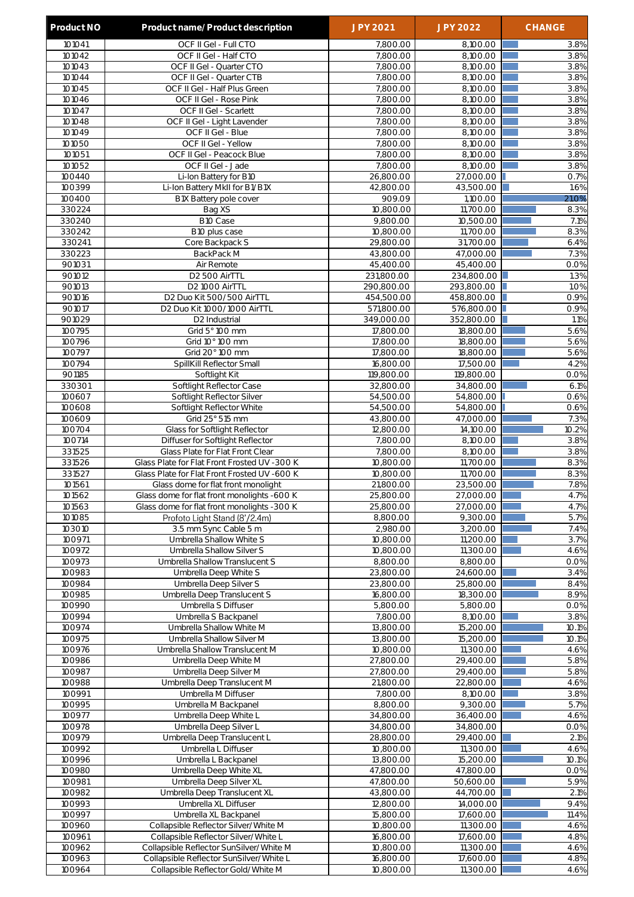| Product NO       | Product name/Product description                                                 | <b>JPY 2021</b>         | <b>JPY 2022</b>         | <b>CHANGE</b>     |
|------------------|----------------------------------------------------------------------------------|-------------------------|-------------------------|-------------------|
| 101041           | OCF II Gel - Full CTO                                                            | 7,800.00                | 8,100.00                | 3.8%              |
| 101042           | OCF II Gel - Half CTO                                                            | 7,800.00                | 8,100.00                | 3.8%              |
| 101043           | OCF II Gel - Quarter CTO                                                         | 7,800.00                | 8,100.00                | 3.8%              |
| 101044<br>101045 | OCF II Gel - Quarter CTB                                                         | 7,800.00                | 8,100.00                | 3.8%<br>3.8%      |
| 101046           | OCF II Gel - Half Plus Green<br>OCF II Gel - Rose Pink                           | 7,800.00<br>7,800.00    | 8,100.00<br>8,100.00    | 3.8%              |
| 101047           | OCF II Gel - Scarlett                                                            | 7,800.00                | 8,100.00                | 3.8%              |
| 101048           | OCF II Gel - Light Lavender                                                      | 7,800.00                | 8,100.00                | 3.8%              |
| 101049           | OCF II Gel - Blue                                                                | 7,800.00                | 8,100.00                | 3.8%              |
| 101050           | OCF II Gel - Yellow                                                              | 7,800.00                | 8,100.00                | 3.8%              |
| 101051           | OCF II Gel - Peacock Blue                                                        | 7,800.00                | 8,100.00                | 3.8%              |
| 101052           | OCF II Gel - Jade                                                                | 7,800.00                | 8.100.00                | 3.8%              |
| 100440<br>100399 | Li-Ion Battery for B10<br>Li-Ion Battery MkII for B1/B1X                         | 26,800.00<br>42,800.00  | 27,000.00<br>43,500.00  | 0.7%<br>1.6%      |
| 100400           | B1X Battery pole cover                                                           | 909.09                  | 1,100.00                | 21.0%             |
| 330224           | Bag XS                                                                           | 10,800.00               | 11,700.00               | 8.3%              |
| 330240           | B10 Case                                                                         | 9,800.00                | 10,500.00               | 7.1%              |
| 330242           | B10 plus case                                                                    | 10,800.00               | 11,700.00               | 8.3%              |
| 330241           | Core Backpack S                                                                  | 29,800.00               | 31,700.00               | 6.4%              |
| 330223           | BackPack M                                                                       | 43,800.00               | 47,000.00               | 7.3%              |
| 901031<br>901012 | Air Remote<br>D2 500 AirTTL                                                      | 45,400.00<br>231,800.00 | 45,400.00<br>234,800.00 | 0.0%<br>1.3%      |
| 901013           | D <sub>2</sub> 1000 AirTTL                                                       | 290,800.00              | 293,800.00              | 1.0%              |
| 901016           | D2 Duo Kit 500/500 AirTTL                                                        | 454,500.00              | 458,800.00              | 0.9%              |
| 901017           | D2 Duo Kit 1000/1000 AirTTL                                                      | 571,800.00              | 576,800.00              | 0.9%              |
| 901029           | D2 Industrial                                                                    | 349,000.00              | 352,800.00              | 1.1%              |
| 100795           | Grid 5° 100 mm                                                                   | 17,800.00               | 18,800.00               | 5.6%              |
| 100796           | Grid 10° 100 mm                                                                  | 17,800.00               | 18,800.00               | 5.6%              |
| 100797<br>100794 | Grid 20° 100 mm                                                                  | 17,800.00               | 18,800.00               | $\overline{5.6%}$ |
| 901185           | SpillKill Reflector Small<br>Softlight Kit                                       | 16,800.00<br>119,800.00 | 17,500.00<br>119,800.00 | 4.2%<br>0.0%      |
| 330301           | Softlight Reflector Case                                                         | 32,800.00               | 34,800.00               | 6.1%              |
| 100607           | Softlight Reflector Silver                                                       | 54,500.00               | 54,800.00               | 0.6%              |
| 100608           | Softlight Reflector White                                                        | 54,500.00               | 54,800.00               | 0.6%              |
| 100609           | Grid 25° 515 mm                                                                  | 43,800.00               | 47,000.00               | 7.3%              |
| 100704           | Glass for Softlight Reflector                                                    | 12,800.00               | 14,100.00               | 10.2%             |
| 100714<br>331525 | Diffuser for Softlight Reflector                                                 | 7,800.00                | 8,100.00                | 3.8%              |
| 331526           | Glass Plate for Flat Front Clear<br>Glass Plate for Flat Front Frosted UV -300 K | 7,800.00<br>10,800.00   | 8,100.00<br>11,700.00   | 3.8%<br>8.3%      |
| 331527           | Glass Plate for Flat Front Frosted UV -600 K                                     | 10,800.00               | 11,700.00               | 8.3%              |
| 101561           | Glass dome for flat front monolight                                              | 21,800.00               | 23.500.00               | 7.8%              |
| 101562           | Glass dome for flat front monolights -600 K                                      | 25,800.00               | 27,000.00               | 4.7%              |
| 101563           | Glass dome for flat front monolights -300 K                                      | 25,800.00               | 27,000.00               | 4.7%              |
| 101085           | Profoto Light Stand (8'/2.4m)                                                    | 8,800.00                | 9,300.00                | 5.7%              |
| 103010           | 3.5 mm Sync Cable 5 m                                                            | 2,980.00                | 3,200.00                | 7.4%              |
| 100971<br>100972 | Umbrella Shallow White S<br>Umbrella Shallow Silver S                            | 10,800.00<br>10,800.00  | 11,200.00<br>11,300.00  | 3.7%<br>4.6%      |
| 100973           | Umbrella Shallow Translucent S                                                   | 8,800.00                | 8,800.00                | 0.0%              |
| 100983           | Umbrella Deep White S                                                            | 23,800.00               | 24,600.00               | 3.4%              |
| 100984           | Umbrella Deep Silver S                                                           | 23,800.00               | 25,800.00               | 8.4%              |
| 100985           | Umbrella Deep Translucent S                                                      | 16,800.00               | 18,300.00               | 8.9%              |
| 100990           | Umbrella S Diffuser                                                              | 5,800.00                | 5,800.00                | 0.0%              |
| 100994           | Umbrella S Backpanel                                                             | 7,800.00                | 8,100.00                | 3.8%              |
| 100974<br>100975 | Umbrella Shallow White M<br>Umbrella Shallow Silver M                            | 13,800.00<br>13,800.00  | 15,200.00<br>15,200.00  | 10.1%<br>10.1%    |
| 100976           | Umbrella Shallow Translucent M                                                   | 10,800.00               | 11,300.00               | 4.6%              |
| 100986           | Umbrella Deep White M                                                            | 27,800.00               | 29,400.00               | 5.8%              |
| 100987           | Umbrella Deep Silver M                                                           | 27,800.00               | 29,400.00               | 5.8%              |
| 100988           | Umbrella Deep Translucent M                                                      | 21,800.00               | 22,800.00               | 4.6%              |
| 100991           | Umbrella M Diffuser                                                              | 7,800.00                | 8,100.00                | 3.8%              |
| 100995           | Umbrella M Backpanel                                                             | 8,800.00                | 9,300.00                | 5.7%              |
| 100977<br>100978 | Umbrella Deep White L<br>Umbrella Deep Silver L                                  | 34,800.00<br>34,800.00  | 36,400.00<br>34,800.00  | 4.6%<br>0.0%      |
| 100979           | Umbrella Deep Translucent L                                                      | 28,800.00               | 29,400.00               | 2.1%              |
| 100992           | Umbrella L Diffuser                                                              | 10,800.00               | 11,300.00               | 4.6%              |
| 100996           | Umbrella L Backpanel                                                             | 13,800.00               | 15,200.00               | 10.1%             |
| 100980           | Umbrella Deep White XL                                                           | 47,800.00               | 47,800.00               | 0.0%              |
| 100981           | Umbrella Deep Silver XL                                                          | 47,800.00               | 50,600.00               | 5.9%              |
| 100982           | Umbrella Deep Translucent XL                                                     | 43,800.00               | 44,700.00               | 2.1%              |
| 100993           | Umbrella XL Diffuser                                                             | 12,800.00               | 14,000.00               | 9.4%              |
| 100997<br>100960 | Umbrella XL Backpanel<br>Collapsible Reflector Silver/White M                    | 15,800.00<br>10,800.00  | 17,600.00<br>11,300.00  | 11.4%<br>4.6%     |
| 100961           | Collapsible Reflector Silver/White L                                             | 16,800.00               | 17,600.00               | 4.8%              |
| 100962           | Collapsible Reflector SunSilver/White M                                          | 10,800.00               | 11,300.00               | 4.6%              |
| 100963           | Collapsible Reflector SunSilver/White L                                          | 16,800.00               | 17,600.00               | 4.8%              |
| 100964           | Collapsible Reflector Gold/White M                                               | 10,800.00               | 11,300.00               | 4.6%              |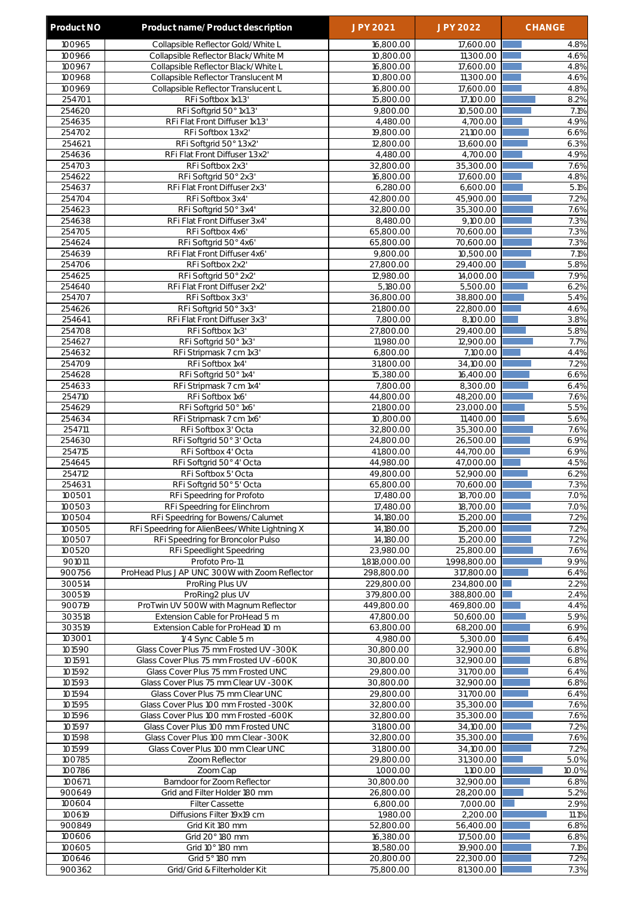| Product NO       | Product name/Product description                                           | JPY 2021                 | <b>JPY 2022</b>          | <b>CHANGE</b> |
|------------------|----------------------------------------------------------------------------|--------------------------|--------------------------|---------------|
| 100965           | Collapsible Reflector Gold/White L                                         | 16,800.00                | 17,600.00                | 4.8%          |
| 100966           | Collapsible Reflector Black/White M                                        | 10,800.00                | 11,300.00                | 4.6%          |
| 100967           | Collapsible Reflector Black/White L                                        | 16,800.00                | 17,600.00                | 4.8%          |
| 100968           | Collapsible Reflector Translucent M                                        | 10,800.00                | 11,300.00                | 4.6%          |
| 100969           | Collapsible Reflector Translucent L                                        | 16,800.00                | 17,600.00                | 4.8%          |
| 254701           | RFi Softbox 1x1.3'                                                         | 15,800.00                | 17,100.00                | 8.2%          |
| 254620           | RFi Softgrid 50° 1x1.3'                                                    | 9,800.00                 | 10,500.00                | 7.1%          |
| 254635<br>254702 | RFi Flat Front Diffuser 1x1.3'<br>RFi Softbox 1.3x2'                       | 4,480.00<br>19,800.00    | 4,700.00<br>21,100.00    | 4.9%<br>6.6%  |
| 254621           | RFi Softgrid 50° 1.3x2'                                                    | 12,800.00                | 13,600.00                | 6.3%          |
| 254636           | RFi Flat Front Diffuser 1.3x2'                                             | 4,480.00                 | 4,700.00                 | 4.9%          |
| 254703           | RFi Softbox 2x3'                                                           | 32,800.00                | 35,300.00                | 7.6%          |
| 254622           | RFi Softgrid 50° 2x3'                                                      | 16,800.00                | 17,600.00                | 4.8%          |
| 254637           | RFi Flat Front Diffuser 2x3'                                               | 6,280.00                 | 6,600.00                 | 5.1%          |
| 254704           | RFi Softbox 3x4'                                                           | 42,800.00                | 45,900.00                | 7.2%          |
| 254623           | RFi Softgrid 50° 3x4'                                                      | 32,800.00                | 35,300.00                | 7.6%          |
| 254638           | RFi Flat Front Diffuser 3x4'                                               | 8,480.00                 | 9,100.00                 | 7.3%          |
| 254705           | RFi Softbox 4x6'                                                           | 65,800.00<br>65,800.00   | 70,600.00                | 7.3%<br>7.3%  |
| 254624<br>254639 | RFi Softgrid 50° 4x6'<br>RFi Flat Front Diffuser 4x6'                      | 9,800.00                 | 70,600.00<br>10,500.00   | 7.1%          |
| 254706           | RFi Softbox 2x2'                                                           | 27,800.00                | 29,400.00                | 5.8%          |
| 254625           | RFi Softgrid 50° 2x2'                                                      | 12,980.00                | 14,000.00                | 7.9%          |
| 254640           | RFi Flat Front Diffuser 2x2'                                               | 5,180.00                 | 5,500.00                 | 6.2%          |
| 254707           | RFi Softbox 3x3'                                                           | 36,800.00                | 38,800.00                | 5.4%          |
| 254626           | RFi Softgrid 50° 3x3'                                                      | 21,800.00                | 22,800.00                | 4.6%          |
| 254641           | RFi Flat Front Diffuser 3x3'                                               | 7,800.00                 | 8,100.00                 | 3.8%          |
| 254708           | RFi Softbox 1x3'                                                           | 27,800.00                | 29,400.00                | 5.8%          |
| 254627           | RFi Softgrid 50° 1x3'                                                      | 11,980.00                | 12,900.00                | 7.7%          |
| 254632           | RFi Stripmask 7 cm 1x3'                                                    | 6,800.00                 | 7,100.00                 | 4.4%          |
| 254709<br>254628 | RFi Softbox 1x4'<br>RFi Softgrid 50° 1x4'                                  | 31,800.00<br>15,380.00   | 34,100.00<br>16,400.00   | 7.2%<br>6.6%  |
| 254633           | RFi Stripmask 7 cm 1x4'                                                    | 7,800.00                 | 8,300.00                 | 6.4%          |
| 254710           | RFi Softbox 1x6'                                                           | 44,800.00                | 48,200.00                | 7.6%          |
| 254629           | RFi Softgrid 50° 1x6'                                                      | 21,800.00                | 23,000.00                | 5.5%          |
| 254634           | RFi Stripmask 7 cm 1x6'                                                    | 10,800.00                | 11,400.00                | 5.6%          |
| 254711           | RFi Softbox 3' Octa                                                        | 32,800.00                | 35,300.00                | 7.6%          |
| 254630           | RFi Softgrid 50° 3' Octa                                                   | 24,800.00                | 26,500.00                | 6.9%          |
| 254715           | RFi Softbox 4' Octa                                                        | 41,800.00                | 44,700.00                | 6.9%          |
| 254645           | RFi Softgrid 50° 4' Octa                                                   | 44,980.00                | 47,000.00                | 4.5%          |
| 254712<br>254631 | RFi Softbox 5' Octa<br>RFi Softgrid 50° 5' Octa                            | 49,800.00                | 52,900.00                | 6.2%          |
| 100501           | RFi Speedring for Profoto                                                  | 65,800.00<br>17,480.00   | 70,600.00<br>18,700.00   | 7.3%<br>7.0%  |
| 100503           | RFi Speedring for Elinchrom                                                | 17,480.00                | 18,700.00                | 7.0%          |
| 100504           | RFi Speedring for Bowens/Calumet                                           | 14,180.00                | 15,200.00                | 7.2%          |
| 100505           | RFI Speedring for AlienBees/White Lightning X                              | 14,180.00                | 15,200.00                | 7.2%          |
| 100507           | RFi Speedring for Broncolor Pulso                                          | 14,180.00                | 15,200.00                | 7.2%          |
| 100520           | RFi Speedlight Speedring                                                   | 23,980.00                | 25,800.00                | 7.6%          |
| 901011           | Profoto Pro-11                                                             | 1,818,000.00             | 1,998,800.00             | 9.9%          |
| 900756           | ProHead Plus JAP UNC 300W with Zoom Reflector                              | 298,800.00               | 317,800.00               | 6.4%          |
| 300514<br>300519 | ProRing Plus UV<br>ProRing2 plus UV                                        | 229,800.00<br>379,800.00 | 234,800.00<br>388,800.00 | 2.2%<br>2.4%  |
| 900719           | ProTwin UV 500W with Magnum Reflector                                      | 449,800.00               | 469,800.00               | 4.4%          |
| 303518           | Extension Cable for ProHead 5 m                                            | 47,800.00                | 50,600.00                | 5.9%          |
| 303519           | Extension Cable for ProHead 10 m                                           | 63,800.00                | 68,200.00                | 6.9%          |
| 103001           | 1/4 Sync Cable 5 m                                                         | 4,980.00                 | 5,300.00                 | 6.4%          |
| 101590           | Glass Cover Plus 75 mm Frosted UV -300K                                    | 30,800.00                | 32,900.00                | 6.8%          |
| 101591           | Glass Cover Plus 75 mm Frosted UV -600K                                    | 30,800.00                | 32,900.00                | 6.8%          |
| 101592           | Glass Cover Plus 75 mm Frosted UNC                                         | 29,800.00                | 31,700.00                | 6.4%          |
| 101593           | Glass Cover Plus 75 mm Clear UV - 300K                                     | 30,800.00                | 32,900.00                | 6.8%          |
| 101594<br>101595 | Glass Cover Plus 75 mm Clear UNC<br>Glass Cover Plus 100 mm Frosted - 300K | 29,800.00<br>32,800.00   | 31,700.00<br>35,300.00   | 6.4%<br>7.6%  |
| 101596           | Glass Cover Plus 100 mm Frosted -600K                                      | 32,800.00                | 35,300.00                | 7.6%          |
| 101597           | Glass Cover Plus 100 mm Frosted UNC                                        | 31,800.00                | 34,100.00                | 7.2%          |
| 101598           | Glass Cover Plus 100 mm Clear -300K                                        | 32,800.00                | 35,300.00                | 7.6%          |
| 101599           | Glass Cover Plus 100 mm Clear UNC                                          | 31,800.00                | 34,100.00                | 7.2%          |
| 100785           | Zoom Reflector                                                             | 29,800.00                | 31,300.00                | 5.0%          |
| 100786           | Zoom Cap                                                                   | 1,000.00                 | 1,100.00                 | 10.0%         |
| 100671           | Barndoor for Zoom Reflector                                                | 30,800.00                | 32,900.00                | 6.8%          |
| 900649           | Grid and Filter Holder 180 mm                                              | 26,800.00                | 28,200.00                | 5.2%          |
| 100604<br>100619 | <b>Filter Cassette</b><br>Diffusions Filter 19x19 cm                       | 6,800.00<br>1,980.00     | 7,000.00<br>2,200.00     | 2.9%<br>11.1% |
| 900849           | Grid Kit 180 mm                                                            | 52,800.00                | 56,400.00                | 6.8%          |
| 100606           | Grid 20° 180 mm                                                            | 16,380.00                | 17,500.00                | 6.8%          |
| 100605           | Grid 10° 180 mm                                                            | 18,580.00                | 19,900.00                | 7.1%          |
| 100646           | Grid 5° 180 mm                                                             | 20,800.00                | 22,300.00                | 7.2%          |
| 900362           | Grid/Grid & Filterholder Kit                                               | 75,800.00                | 81,300.00                | 7.3%          |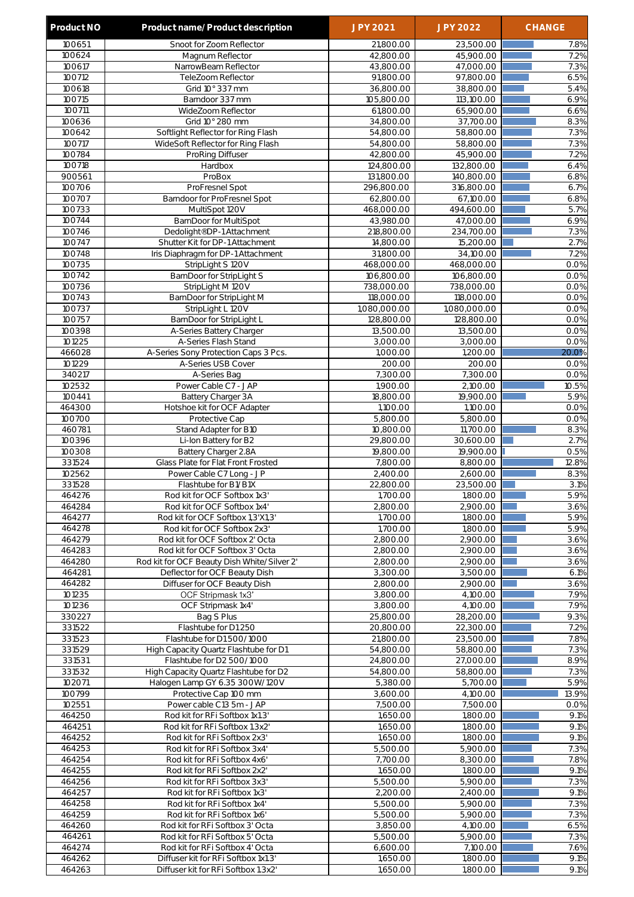| Product NO       | Product name/Product description                                  | <b>JPY 2021</b>          | <b>JPY 2022</b>          | <b>CHANGE</b> |
|------------------|-------------------------------------------------------------------|--------------------------|--------------------------|---------------|
| 100651           | Snoot for Zoom Reflector                                          | 21,800.00                | 23,500.00                | 7.8%          |
| 100624           | Magnum Reflector                                                  | 42,800.00                | 45,900.00                | 7.2%          |
| 100617           | NarrowBeam Reflector                                              | 43,800.00                | 47,000.00                | 7.3%          |
| 100712<br>100618 | TeleZoom Reflector<br>Grid 10° 337 mm                             | 91,800.00<br>36,800.00   | 97,800.00<br>38,800.00   | 6.5%<br>5.4%  |
| 100715           | Barndoor 337 mm                                                   | 105,800.00               | 113,100.00               | 6.9%          |
| 100711           | WideZoom Reflector                                                | 61,800.00                | 65,900.00                | 6.6%          |
| 100636           | Grid 10° 280 mm                                                   | 34,800.00                | 37,700.00                | 8.3%          |
| 100642           | Softlight Reflector for Ring Flash                                | 54,800.00                | 58,800.00                | 7.3%          |
| 100717           | WideSoft Reflector for Ring Flash                                 | 54,800.00                | 58,800.00                | 7.3%          |
| 100784           | ProRing Diffuser                                                  | 42,800.00                | 45,900.00                | 7.2%          |
| 100718<br>900561 | Hardbox<br>ProBox                                                 | 124,800.00               | 132,800.00               | 6.4%          |
| 100706           | ProFresnel Spot                                                   | 131,800.00<br>296,800.00 | 140,800.00<br>316,800.00 | 6.8%<br>6.7%  |
| 100707           | Barndoor for ProFresnel Spot                                      | 62,800.00                | 67,100.00                | 6.8%          |
| 100733           | MultiSpot 120V                                                    | 468,000.00               | 494,600.00               | 5.7%          |
| 100744           | BarnDoor for MultiSpot                                            | 43,980.00                | 47,000.00                | 6.9%          |
| 100746           | Dedolight® DP-1 Attachment                                        | 218,800.00               | 234,700.00               | 7.3%          |
| 100747           | Shutter Kit for DP-1 Attachment                                   | 14,800.00                | 15,200.00                | 2.7%          |
| 100748<br>100735 | Iris Diaphragm for DP-1 Attachment<br>StripLight S 120V           | 31,800.00<br>468,000.00  | 34,100.00<br>468,000.00  | 7.2%<br>0.0%  |
| 100742           | BarnDoor for StripLight S                                         | 106,800.00               | 106,800.00               | 0.0%          |
| 100736           | StripLight M 120V                                                 | 738,000.00               | 738,000.00               | 0.0%          |
| 100743           | BarnDoor for StripLight M                                         | 118,000.00               | 118,000.00               | 0.0%          |
| 100737           | StripLight L 120V                                                 | 1,080,000.00             | 1,080,000.00             | 0.0%          |
| 100757           | BarnDoor for StripLight L                                         | 128,800.00               | 128,800.00               | 0.0%          |
| 100398           | A-Series Battery Charger                                          | 13,500.00                | 13,500.00                | 0.0%          |
| 101225<br>466028 | A-Series Flash Stand<br>A-Series Sony Protection Caps 3 Pcs.      | 3,000.00<br>1,000.00     | 3,000.00<br>1,200.00     | 0.0%<br>20.0% |
| 101229           | A-Series USB Cover                                                | 200.00                   | 200.00                   | 0.0%          |
| 340217           | A-Series Bag                                                      | 7,300.00                 | 7,300.00                 | 0.0%          |
| 102532           | Power Cable C7 - JAP                                              | 1,900.00                 | 2,100.00                 | 10.5%         |
| 100441           | Battery Charger 3A                                                | 18,800.00                | 19,900.00                | 5.9%          |
| 464300           | Hotshoe kit for OCF Adapter                                       | 1,100.00                 | 1,100.00                 | 0.0%          |
| 100700           | Protective Cap                                                    | 5,800.00                 | 5,800.00                 | 0.0%          |
| 460781<br>100396 | Stand Adapter for B10<br>Li-Ion Battery for B2                    | 10,800.00<br>29,800.00   | 11,700.00<br>30,600.00   | 8.3%<br>2.7%  |
| 100308           | Battery Charger 2.8A                                              | 19,800.00                | 19,900.00                | 0.5%          |
| 331524           | Glass Plate for Flat Front Frosted                                | 7.800.00                 | 8,800.00                 | 12.8%         |
| 102562           | Power Cable C7 Long - JP                                          | 2,400.00                 | 2,600.00                 | 8.3%          |
| 331528           | Flashtube for B1/B1X                                              | 22,800.00                | 23,500.00                | 3.1%          |
| 464276           | Rod kit for OCF Softbox 1x3'                                      | 1,700.00                 | 1,800.00                 | 5.9%          |
| 464284           | Rod kit for OCF Softbox 1x4'                                      | 2,800.00                 | 2,900.00                 | 3.6%          |
| 464277<br>464278 | Rod kit for OCF Softbox 1,3'X1,3'<br>Rod kit for OCF Softbox 2x3' | 1,700.00<br>1,700.00     | 1,800.00<br>1,800.00     | 5.9%<br>5.9%  |
| 464279           | Rod kit for OCF Softbox 2' Octa                                   | 2,800.00                 | 2,900.00                 | 3.6%          |
| 464283           | Rod kit for OCF Softbox 3' Octa                                   | 2,800.00                 | 2,900.00                 | 3.6%          |
| 464280           | Rod kit for OCF Beauty Dish White/Silver 2'                       | 2,800.00                 | 2,900.00                 | 3.6%          |
| 464281           | Deflector for OCF Beauty Dish                                     | 3,300.00                 | 3,500.00                 | 6.1%          |
| 464282           | Diffuser for OCF Beauty Dish                                      | 2,800.00                 | 2,900.00                 | 3.6%          |
| 101235           | OCF Stripmask 1x3'                                                | 3,800.00                 | 4,100.00                 | 7.9%          |
| 101236           | OCF Stripmask 1x4'                                                | 3,800.00                 | 4,100.00                 | 7.9%          |
| 330227<br>331522 | Bag S Plus<br>Flashtube for D1 250                                | 25,800.00<br>20,800.00   | 28,200.00<br>22,300.00   | 9.3%<br>7.2%  |
| 331523           | Flashtube for D1 500/1000                                         | 21,800.00                | 23,500.00                | 7.8%          |
| 331529           | High Capacity Quartz Flashtube for D1                             | 54,800.00                | 58,800.00                | 7.3%          |
| 331531           | Flashtube for D2 500/1000                                         | 24,800.00                | 27,000.00                | 8.9%          |
| 331532           | High Capacity Quartz Flashtube for D2                             | 54,800.00                | 58,800.00                | 7.3%          |
| 102071           | Halogen Lamp GY 6.35 300W/120V                                    | 5,380.00                 | 5,700.00                 | 5.9%          |
| 100799<br>102551 | Protective Cap 100 mm<br>Power cable C13 5m - JAP                 | 3,600.00<br>7,500.00     | 4,100.00<br>7,500.00     | 13.9%<br>0.0% |
| 464250           | Rod kit for RFi Softbox 1x1.3'                                    | 1,650.00                 | 1,800.00                 | 9.1%          |
| 464251           | Rod kit for RFi Softbox 1.3x2'                                    | 1,650.00                 | 1,800.00                 | 9.1%          |
| 464252           | Rod kit for RFi Softbox 2x3'                                      | 1,650.00                 | 1,800.00                 | 9.1%          |
| 464253           | Rod kit for RFi Softbox 3x4'                                      | 5,500.00                 | 5,900.00                 | 7.3%          |
| 464254           | Rod kit for RFi Softbox 4x6'                                      | 7,700.00                 | 8,300.00                 | 7.8%          |
| 464255           | Rod kit for RFi Softbox 2x2'                                      | 1,650.00                 | 1,800.00                 | 9.1%          |
| 464256<br>464257 | Rod kit for RFi Softbox 3x3'<br>Rod kit for RFi Softbox 1x3'      | 5,500.00<br>2,200.00     | 5,900.00<br>2,400.00     | 7.3%<br>9.1%  |
| 464258           | Rod kit for RFi Softbox 1x4'                                      | 5,500.00                 | 5,900.00                 | 7.3%          |
| 464259           | Rod kit for RFi Softbox 1x6'                                      | 5,500.00                 | 5,900.00                 | 7.3%          |
| 464260           | Rod kit for RFi Softbox 3' Octa                                   | 3,850.00                 | 4,100.00                 | 6.5%          |
| 464261           | Rod kit for RFi Softbox 5' Octa                                   | 5,500.00                 | 5,900.00                 | 7.3%          |
| 464274           | Rod kit for RFi Softbox 4' Octa                                   | 6,600.00                 | 7,100.00                 | 7.6%          |
| 464262           | Diffuser kit for RFi Softbox 1x1.3'                               | 1,650.00                 | 1,800.00                 | 9.1%          |
| 464263           | Diffuser kit for RFi Softbox 1.3x2'                               | 1,650.00                 | 1,800.00                 | 9.1%          |